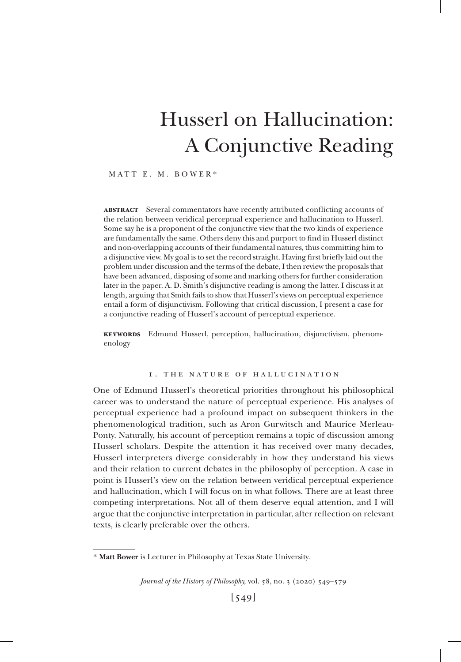# Husserl on Hallucination: A Conjunctive Reading

MATT E. M. BOWER\*

**abstract** Several commentators have recently attributed conflicting accounts of the relation between veridical perceptual experience and hallucination to Husserl. Some say he is a proponent of the conjunctive view that the two kinds of experience are fundamentally the same. Others deny this and purport to find in Husserl distinct and non-overlapping accounts of their fundamental natures, thus committing him to a disjunctive view. My goal is to set the record straight. Having first briefly laid out the problem under discussion and the terms of the debate, I then review the proposals that have been advanced, disposing of some and marking others for further consideration later in the paper. A. D. Smith's disjunctive reading is among the latter. I discuss it at length, arguing that Smith fails to show that Husserl's views on perceptual experience entail a form of disjunctivism. Following that critical discussion, I present a case for a conjunctive reading of Husserl's account of perceptual experience.

**keywords** Edmund Husserl, perception, hallucination, disjunctivism, phenomenology

# 1 . the nature of hallucination

One of Edmund Husserl's theoretical priorities throughout his philosophical career was to understand the nature of perceptual experience. His analyses of perceptual experience had a profound impact on subsequent thinkers in the phenomenological tradition, such as Aron Gurwitsch and Maurice Merleau-Ponty. Naturally, his account of perception remains a topic of discussion among Husserl scholars. Despite the attention it has received over many decades, Husserl interpreters diverge considerably in how they understand his views and their relation to current debates in the philosophy of perception. A case in point is Husserl's view on the relation between veridical perceptual experience and hallucination, which I will focus on in what follows. There are at least three competing interpretations. Not all of them deserve equal attention, and I will argue that the conjunctive interpretation in particular, after reflection on relevant texts, is clearly preferable over the others.

*Journal of the History of Philosophy,* vol. 58, no. 3 (2020) 549–579

<sup>\*</sup> **Matt Bower** is Lecturer in Philosophy at Texas State University.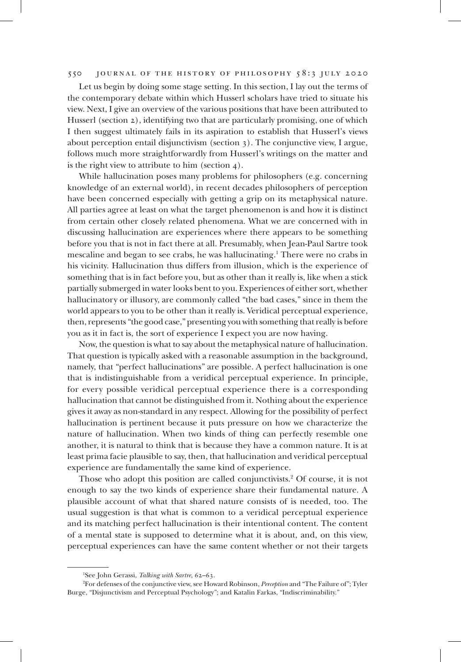Let us begin by doing some stage setting. In this section, I lay out the terms of the contemporary debate within which Husserl scholars have tried to situate his view. Next, I give an overview of the various positions that have been attributed to Husserl (section 2), identifying two that are particularly promising, one of which I then suggest ultimately fails in its aspiration to establish that Husserl's views about perception entail disjunctivism (section 3). The conjunctive view, I argue, follows much more straightforwardly from Husserl's writings on the matter and is the right view to attribute to him (section 4).

While hallucination poses many problems for philosophers (e.g. concerning knowledge of an external world), in recent decades philosophers of perception have been concerned especially with getting a grip on its metaphysical nature. All parties agree at least on what the target phenomenon is and how it is distinct from certain other closely related phenomena. What we are concerned with in discussing hallucination are experiences where there appears to be something before you that is not in fact there at all. Presumably, when Jean-Paul Sartre took mescaline and began to see crabs, he was hallucinating.<sup>1</sup> There were no crabs in his vicinity. Hallucination thus differs from illusion, which is the experience of something that is in fact before you, but as other than it really is, like when a stick partially submerged in water looks bent to you. Experiences of either sort, whether hallucinatory or illusory, are commonly called "the bad cases," since in them the world appears to you to be other than it really is. Veridical perceptual experience, then, represents "the good case," presenting you with something that really is before you as it in fact is, the sort of experience I expect you are now having.

Now, the question is what to say about the metaphysical nature of hallucination. That question is typically asked with a reasonable assumption in the background, namely, that "perfect hallucinations" are possible. A perfect hallucination is one that is indistinguishable from a veridical perceptual experience. In principle, for every possible veridical perceptual experience there is a corresponding hallucination that cannot be distinguished from it. Nothing about the experience gives it away as non-standard in any respect. Allowing for the possibility of perfect hallucination is pertinent because it puts pressure on how we characterize the nature of hallucination. When two kinds of thing can perfectly resemble one another, it is natural to think that is because they have a common nature. It is at least prima facie plausible to say, then, that hallucination and veridical perceptual experience are fundamentally the same kind of experience.

Those who adopt this position are called conjunctivists.<sup>2</sup> Of course, it is not enough to say the two kinds of experience share their fundamental nature. A plausible account of what that shared nature consists of is needed, too. The usual suggestion is that what is common to a veridical perceptual experience and its matching perfect hallucination is their intentional content. The content of a mental state is supposed to determine what it is about, and, on this view, perceptual experiences can have the same content whether or not their targets

<sup>1</sup> See John Gerassi, *Talking with Sartre*, 62–63.

<sup>2</sup> For defenses of the conjunctive view, see Howard Robinson, *Perception* and "The Failure of"; Tyler Burge, "Disjunctivism and Perceptual Psychology"; and Katalin Farkas, "Indiscriminability."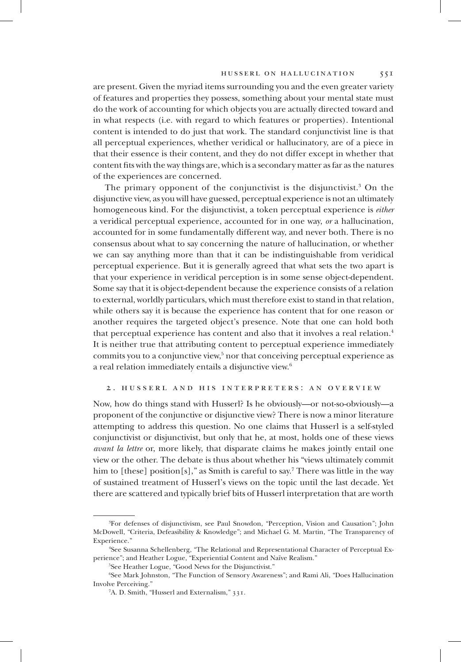are present. Given the myriad items surrounding you and the even greater variety of features and properties they possess, something about your mental state must do the work of accounting for which objects you are actually directed toward and in what respects (i.e. with regard to which features or properties). Intentional content is intended to do just that work. The standard conjunctivist line is that all perceptual experiences, whether veridical or hallucinatory, are of a piece in that their essence is their content, and they do not differ except in whether that content fits with the way things are, which is a secondary matter as far as the natures of the experiences are concerned.

The primary opponent of the conjunctivist is the disjunctivist.<sup>3</sup> On the disjunctive view, as you will have guessed, perceptual experience is not an ultimately homogeneous kind. For the disjunctivist, a token perceptual experience is *either* a veridical perceptual experience, accounted for in one way, *or* a hallucination, accounted for in some fundamentally different way, and never both. There is no consensus about what to say concerning the nature of hallucination, or whether we can say anything more than that it can be indistinguishable from veridical perceptual experience. But it is generally agreed that what sets the two apart is that your experience in veridical perception is in some sense object-dependent. Some say that it is object-dependent because the experience consists of a relation to external, worldly particulars, which must therefore exist to stand in that relation, while others say it is because the experience has content that for one reason or another requires the targeted object's presence. Note that one can hold both that perceptual experience has content and also that it involves a real relation.4 It is neither true that attributing content to perceptual experience immediately commits you to a conjunctive view,<sup>5</sup> nor that conceiving perceptual experience as a real relation immediately entails a disjunctive view.6

# 2 . husserl and his interpreters: an overview

Now, how do things stand with Husserl? Is he obviously—or not-so-obviously—a proponent of the conjunctive or disjunctive view? There is now a minor literature attempting to address this question. No one claims that Husserl is a self-styled conjunctivist or disjunctivist, but only that he, at most, holds one of these views *avant la lettre* or, more likely, that disparate claims he makes jointly entail one view or the other. The debate is thus about whether his "views ultimately commit him to [these] position[s]," as Smith is careful to say.<sup>7</sup> There was little in the way of sustained treatment of Husserl's views on the topic until the last decade. Yet there are scattered and typically brief bits of Husserl interpretation that are worth

<sup>3</sup> For defenses of disjunctivism, see Paul Snowdon, "Perception, Vision and Causation"; John McDowell, "Criteria, Defeasibility & Knowledge"; and Michael G. M. Martin, "The Transparency of Experience."

<sup>4</sup> See Susanna Schellenberg, "The Relational and Representational Character of Perceptual Experience"; and Heather Logue, "Experiential Content and Naïve Realism."

<sup>5</sup> See Heather Logue, "Good News for the Disjunctivist."

<sup>6</sup> See Mark Johnston, "The Function of Sensory Awareness"; and Rami Ali, "Does Hallucination Involve Perceiving."

<sup>7</sup> A. D. Smith, "Husserl and Externalism," 331.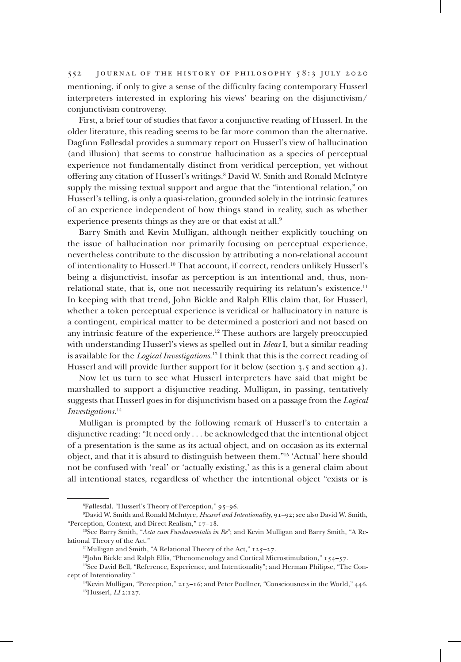# 552 journal of the history of philosophy 58:3 july 2020 mentioning, if only to give a sense of the difficulty facing contemporary Husserl interpreters interested in exploring his views' bearing on the disjunctivism/ conjunctivism controversy.

First, a brief tour of studies that favor a conjunctive reading of Husserl. In the older literature, this reading seems to be far more common than the alternative. Dagfinn Føllesdal provides a summary report on Husserl's view of hallucination (and illusion) that seems to construe hallucination as a species of perceptual experience not fundamentally distinct from veridical perception, yet without offering any citation of Husserl's writings.8 David W. Smith and Ronald McIntyre supply the missing textual support and argue that the "intentional relation," on Husserl's telling, is only a quasi-relation, grounded solely in the intrinsic features of an experience independent of how things stand in reality, such as whether experience presents things as they are or that exist at all.<sup>9</sup>

Barry Smith and Kevin Mulligan, although neither explicitly touching on the issue of hallucination nor primarily focusing on perceptual experience, nevertheless contribute to the discussion by attributing a non-relational account of intentionality to Husserl.<sup>10</sup> That account, if correct, renders unlikely Husserl's being a disjunctivist, insofar as perception is an intentional and, thus, nonrelational state, that is, one not necessarily requiring its relatum's existence.<sup>11</sup> In keeping with that trend, John Bickle and Ralph Ellis claim that, for Husserl, whether a token perceptual experience is veridical or hallucinatory in nature is a contingent, empirical matter to be determined a posteriori and not based on any intrinsic feature of the experience.<sup>12</sup> These authors are largely preoccupied with understanding Husserl's views as spelled out in *Ideas* I, but a similar reading is available for the *Logical Investigations*. 13 I think that this is the correct reading of Husserl and will provide further support for it below (section 3.5 and section 4).

Now let us turn to see what Husserl interpreters have said that might be marshalled to support a disjunctive reading. Mulligan, in passing, tentatively suggests that Husserl goes in for disjunctivism based on a passage from the *Logical Investigations*. 14

Mulligan is prompted by the following remark of Husserl's to entertain a disjunctive reading: "It need only . . . be acknowledged that the intentional object of a presentation is the same as its actual object, and on occasion as its external object, and that it is absurd to distinguish between them."15 'Actual' here should not be confused with 'real' or 'actually existing,' as this is a general claim about all intentional states, regardless of whether the intentional object "exists or is

<sup>8</sup> Føllesdal, "Husserl's Theory of Perception," 95–96.

<sup>9</sup> David W. Smith and Ronald McIntyre, *Husserl and Intentionality*, 91–92; see also David W. Smith, "Perception, Context, and Direct Realism," 17–18.

<sup>10</sup>See Barry Smith, "*Acta cum Fundamentalis in Re*"; and Kevin Mulligan and Barry Smith, "A Relational Theory of the Act."

<sup>&</sup>lt;sup>11</sup>Mulligan and Smith, "A Relational Theory of the Act,"  $125-27$ .

<sup>&</sup>lt;sup>12</sup>John Bickle and Ralph Ellis, "Phenomenology and Cortical Microstimulation,"  $154-57$ .

<sup>&</sup>lt;sup>13</sup>See David Bell, "Reference, Experience, and Intentionality"; and Herman Philipse, "The Concept of Intentionality."

<sup>14</sup>Kevin Mulligan, "Perception," 213–16; and Peter Poellner, "Consciousness in the World," 446. 15Husserl, *LI* 2:127.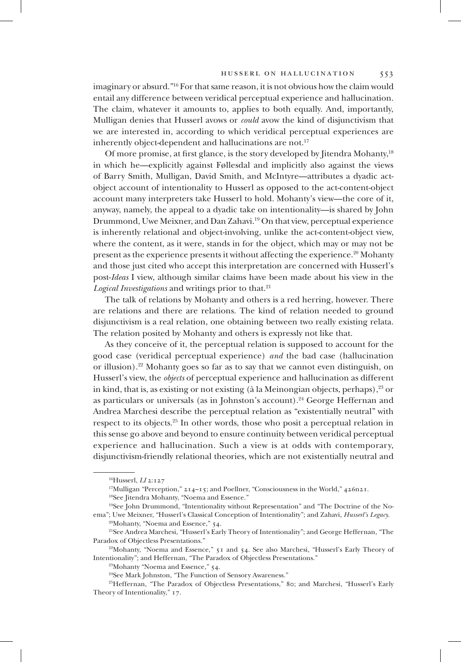imaginary or absurd."16 For that same reason, it is not obvious how the claim would entail any difference between veridical perceptual experience and hallucination. The claim, whatever it amounts to, applies to both equally. And, importantly, Mulligan denies that Husserl avows or *could* avow the kind of disjunctivism that we are interested in, according to which veridical perceptual experiences are inherently object-dependent and hallucinations are not.<sup>17</sup>

Of more promise, at first glance, is the story developed by Jitendra Mohanty,<sup>18</sup> in which he—explicitly against Føllesdal and implicitly also against the views of Barry Smith, Mulligan, David Smith, and McIntyre—attributes a dyadic actobject account of intentionality to Husserl as opposed to the act-content-object account many interpreters take Husserl to hold. Mohanty's view—the core of it, anyway, namely, the appeal to a dyadic take on intentionality—is shared by John Drummond, Uwe Meixner, and Dan Zahavi.19 On that view, perceptual experience is inherently relational and object-involving, unlike the act-content-object view, where the content, as it were, stands in for the object, which may or may not be present as the experience presents it without affecting the experience.20 Mohanty and those just cited who accept this interpretation are concerned with Husserl's post-*Ideas* I view, although similar claims have been made about his view in the Logical Investigations and writings prior to that.<sup>21</sup>

The talk of relations by Mohanty and others is a red herring, however. There are relations and there are relations. The kind of relation needed to ground disjunctivism is a real relation, one obtaining between two really existing relata. The relation posited by Mohanty and others is expressly not like that.

As they conceive of it, the perceptual relation is supposed to account for the good case (veridical perceptual experience) *and* the bad case (hallucination or illusion).22 Mohanty goes so far as to say that we cannot even distinguish, on Husserl's view, the *objects* of perceptual experience and hallucination as different in kind, that is, as existing or not existing ( $\lambda$  la Meinongian objects, perhaps),  $2^3$  or as particulars or universals (as in Johnston's account).<sup>24</sup> George Heffernan and Andrea Marchesi describe the perceptual relation as "existentially neutral" with respect to its objects.25 In other words, those who posit a perceptual relation in this sense go above and beyond to ensure continuity between veridical perceptual experience and hallucination. Such a view is at odds with contemporary, disjunctivism-friendly relational theories, which are not existentially neutral and

18See Jitendra Mohanty, "Noema and Essence."

19See John Drummond, "Intentionality without Representation" and "The Doctrine of the Noema"; Uwe Meixner, "Husserl's Classical Conception of Intentionality"; and Zahavi, *Husserl's Legacy*.

20Mohanty, "Noema and Essence," 54.

<sup>22</sup>Mohanty, "Noema and Essence,"  $51$  and  $54$ . See also Marchesi, "Husserl's Early Theory of Intentionality"; and Heffernan, "The Paradox of Objectless Presentations."

<sup>16</sup>Husserl, *LI* 2:127

<sup>17</sup>Mulligan "Perception," 214–15; and Poellner, "Consciousness in the World," 426n21.

<sup>21</sup>See Andrea Marchesi, "Husserl's Early Theory of Intentionality"; and George Heffernan, "The Paradox of Objectless Presentations."

<sup>23</sup>Mohanty "Noema and Essence," 54.

<sup>&</sup>lt;sup>24</sup>See Mark Johnston, "The Function of Sensory Awareness."

<sup>25</sup>Heffernan, "The Paradox of Objectless Presentations," 80; and Marchesi, "Husserl's Early Theory of Intentionality," 17.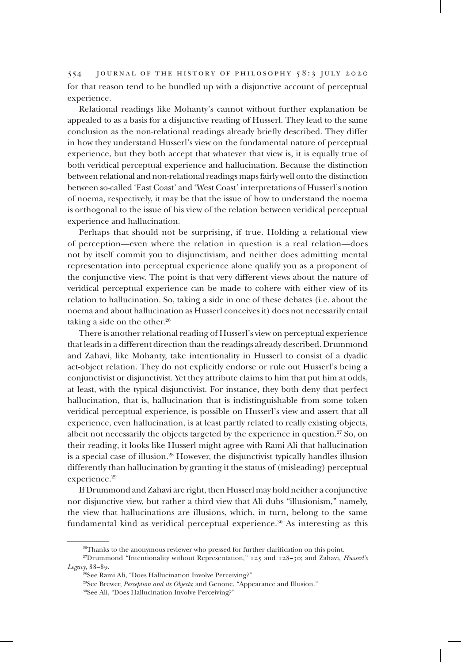554 journal of the history of philosophy 58:3 july 2020 for that reason tend to be bundled up with a disjunctive account of perceptual experience.

Relational readings like Mohanty's cannot without further explanation be appealed to as a basis for a disjunctive reading of Husserl. They lead to the same conclusion as the non-relational readings already briefly described. They differ in how they understand Husserl's view on the fundamental nature of perceptual experience, but they both accept that whatever that view is, it is equally true of both veridical perceptual experience and hallucination. Because the distinction between relational and non-relational readings maps fairly well onto the distinction between so-called 'East Coast' and 'West Coast' interpretations of Husserl's notion of noema, respectively, it may be that the issue of how to understand the noema is orthogonal to the issue of his view of the relation between veridical perceptual experience and hallucination.

Perhaps that should not be surprising, if true. Holding a relational view of perception—even where the relation in question is a real relation—does not by itself commit you to disjunctivism, and neither does admitting mental representation into perceptual experience alone qualify you as a proponent of the conjunctive view. The point is that very different views about the nature of veridical perceptual experience can be made to cohere with either view of its relation to hallucination. So, taking a side in one of these debates (i.e. about the noema and about hallucination as Husserl conceives it) does not necessarily entail taking a side on the other. $26$ 

There is another relational reading of Husserl's view on perceptual experience that leads in a different direction than the readings already described. Drummond and Zahavi, like Mohanty, take intentionality in Husserl to consist of a dyadic act-object relation. They do not explicitly endorse or rule out Husserl's being a conjunctivist or disjunctivist. Yet they attribute claims to him that put him at odds, at least, with the typical disjunctivist. For instance, they both deny that perfect hallucination, that is, hallucination that is indistinguishable from some token veridical perceptual experience, is possible on Husserl's view and assert that all experience, even hallucination, is at least partly related to really existing objects, albeit not necessarily the objects targeted by the experience in question.<sup>27</sup> So, on their reading, it looks like Husserl might agree with Rami Ali that hallucination is a special case of illusion.<sup>28</sup> However, the disjunctivist typically handles illusion differently than hallucination by granting it the status of (misleading) perceptual experience.<sup>29</sup>

If Drummond and Zahavi are right, then Husserl may hold neither a conjunctive nor disjunctive view, but rather a third view that Ali dubs "illusionism," namely, the view that hallucinations are illusions, which, in turn, belong to the same fundamental kind as veridical perceptual experience.<sup>30</sup> As interesting as this

<sup>&</sup>lt;sup>26</sup>Thanks to the anonymous reviewer who pressed for further clarification on this point.

<sup>27</sup>Drummond "Intentionality without Representation," 125 and 128–30; and Zahavi, *Husserl's Legacy*, 88–89.

<sup>28</sup>See Rami Ali, "Does Hallucination Involve Perceiving?"

<sup>29</sup>See Brewer, *Perception and its Objects*; and Genone, "Appearance and Illusion."

<sup>30</sup>See Ali, "Does Hallucination Involve Perceiving?"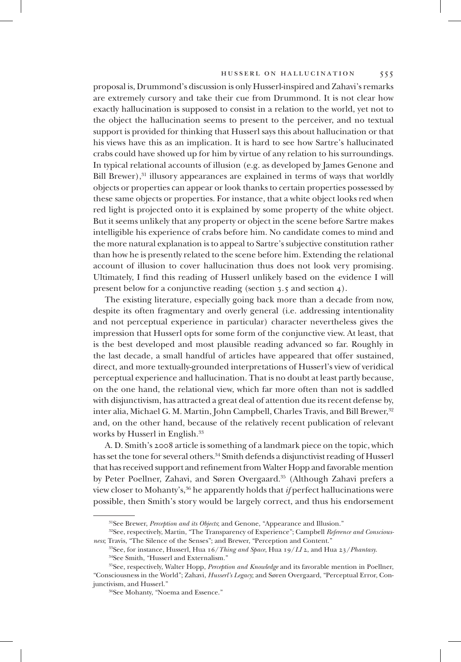proposal is, Drummond's discussion is only Husserl-inspired and Zahavi's remarks are extremely cursory and take their cue from Drummond. It is not clear how exactly hallucination is supposed to consist in a relation to the world, yet not to the object the hallucination seems to present to the perceiver, and no textual support is provided for thinking that Husserl says this about hallucination or that his views have this as an implication. It is hard to see how Sartre's hallucinated crabs could have showed up for him by virtue of any relation to his surroundings. In typical relational accounts of illusion (e.g. as developed by James Genone and Bill Brewer),<sup>31</sup> illusory appearances are explained in terms of ways that worldly objects or properties can appear or look thanks to certain properties possessed by these same objects or properties. For instance, that a white object looks red when red light is projected onto it is explained by some property of the white object. But it seems unlikely that any property or object in the scene before Sartre makes intelligible his experience of crabs before him. No candidate comes to mind and the more natural explanation is to appeal to Sartre's subjective constitution rather than how he is presently related to the scene before him. Extending the relational account of illusion to cover hallucination thus does not look very promising. Ultimately, I find this reading of Husserl unlikely based on the evidence I will present below for a conjunctive reading (section 3.5 and section 4).

The existing literature, especially going back more than a decade from now, despite its often fragmentary and overly general (i.e. addressing intentionality and not perceptual experience in particular) character nevertheless gives the impression that Husserl opts for some form of the conjunctive view. At least, that is the best developed and most plausible reading advanced so far. Roughly in the last decade, a small handful of articles have appeared that offer sustained, direct, and more textually-grounded interpretations of Husserl's view of veridical perceptual experience and hallucination. That is no doubt at least partly because, on the one hand, the relational view, which far more often than not is saddled with disjunctivism, has attracted a great deal of attention due its recent defense by, inter alia, Michael G. M. Martin, John Campbell, Charles Travis, and Bill Brewer,<sup>32</sup> and, on the other hand, because of the relatively recent publication of relevant works by Husserl in English.<sup>33</sup>

A. D. Smith's 2008 article is something of a landmark piece on the topic, which has set the tone for several others.<sup>34</sup> Smith defends a disjunctivist reading of Husserl that has received support and refinement from Walter Hopp and favorable mention by Peter Poellner, Zahavi, and Søren Overgaard.35 (Although Zahavi prefers a view closer to Mohanty's,  $36$  he apparently holds that *if* perfect hallucinations were possible, then Smith's story would be largely correct, and thus his endorsement

<sup>31</sup>See Brewer, *Perception and its Objects*; and Genone, "Appearance and Illusion."

<sup>32</sup>See, respectively, Martin, "The Transparency of Experience"; Campbell *Reference and Consciousness*; Travis, "The Silence of the Senses"; and Brewer, "Perception and Content."

<sup>33</sup>See, for instance, Husserl, Hua 16/*Thing and Space*, Hua 19/*LI* 2, and Hua 23/*Phantasy*. 34See Smith, "Husserl and Externalism."

<sup>35</sup>See, respectively, Walter Hopp, *Perception and Knowledge* and its favorable mention in Poellner, "Consciousness in the World"; Zahavi, *Husserl's Legacy*; and Søren Overgaard, "Perceptual Error, Conjunctivism, and Husserl."

<sup>36</sup>See Mohanty, "Noema and Essence."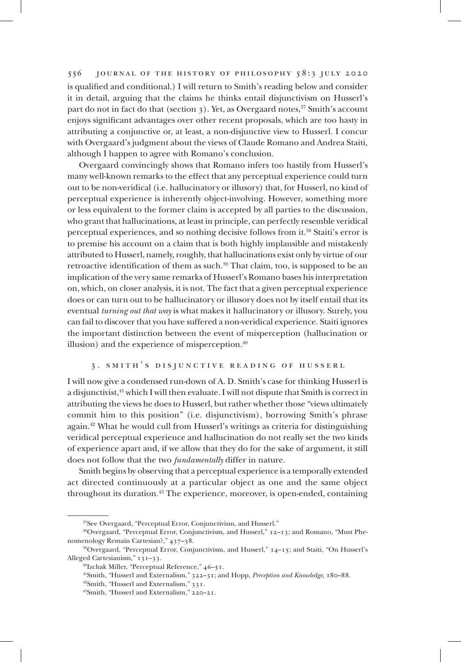556 journal of the history of philosophy 58:3 july 2020 is qualified and conditional.) I will return to Smith's reading below and consider it in detail, arguing that the claims he thinks entail disjunctivism on Husserl's part do not in fact do that (section  $\alpha$ ). Yet, as Overgaard notes,<sup>37</sup> Smith's account enjoys significant advantages over other recent proposals, which are too hasty in attributing a conjunctive or, at least, a non-disjunctive view to Husserl. I concur with Overgaard's judgment about the views of Claude Romano and Andrea Staiti, although I happen to agree with Romano's conclusion.

Overgaard convincingly shows that Romano infers too hastily from Husserl's many well-known remarks to the effect that any perceptual experience could turn out to be non-veridical (i.e. hallucinatory or illusory) that, for Husserl, no kind of perceptual experience is inherently object-involving. However, something more or less equivalent to the former claim is accepted by all parties to the discussion, who grant that hallucinations, at least in principle, can perfectly resemble veridical perceptual experiences, and so nothing decisive follows from it.38 Staiti's error is to premise his account on a claim that is both highly implausible and mistakenly attributed to Husserl, namely, roughly, that hallucinations exist only by virtue of our retroactive identification of them as such.<sup>39</sup> That claim, too, is supposed to be an implication of the very same remarks of Husserl's Romano bases his interpretation on, which, on closer analysis, it is not. The fact that a given perceptual experience does or can turn out to be hallucinatory or illusory does not by itself entail that its eventual *turning out that way* is what makes it hallucinatory or illusory. Surely, you can fail to discover that you have suffered a non-veridical experience. Staiti ignores the important distinction between the event of misperception (hallucination or illusion) and the experience of misperception. $40$ 

# 3 . smith's disjunctive reading of husserl

I will now give a condensed run-down of A. D. Smith's case for thinking Husserl is a disjunctivist,<sup>41</sup> which I will then evaluate. I will not dispute that Smith is correct in attributing the views he does to Husserl, but rather whether those "views ultimately commit him to this position" (i.e. disjunctivism), borrowing Smith's phrase again.42 What he would cull from Husserl's writings as criteria for distinguishing veridical perceptual experience and hallucination do not really set the two kinds of experience apart and, if we allow that they do for the sake of argument, it still does not follow that the two *fundamentally* differ in nature.

Smith begins by observing that a perceptual experience is a temporally extended act directed continuously at a particular object as one and the same object throughout its duration.<sup>43</sup> The experience, moreover, is open-ended, containing

<sup>37</sup>See Overgaard, "Perceptual Error, Conjunctivism, and Husserl."

<sup>38</sup>Overgaard, "Perceptual Error, Conjunctivism, and Husserl," 12–13; and Romano, "Must Phenomenology Remain Cartesian?," 437–38.

<sup>39</sup>Overgaard, "Perceptual Error, Conjunctivism, and Husserl," 14–15; and Staiti, "On Husserl's Alleged Cartesianism," 131–33.

<sup>40</sup>Izchak Miller, "Perceptual Reference," 46–51.

<sup>41</sup>Smith, "Husserl and Externalism," 322–31; and Hopp, *Perception and Knowledge*, 180–88.

<sup>42</sup>Smith, "Husserl and Externalism," 331.

<sup>43</sup>Smith, "Husserl and Externalism," 220–21.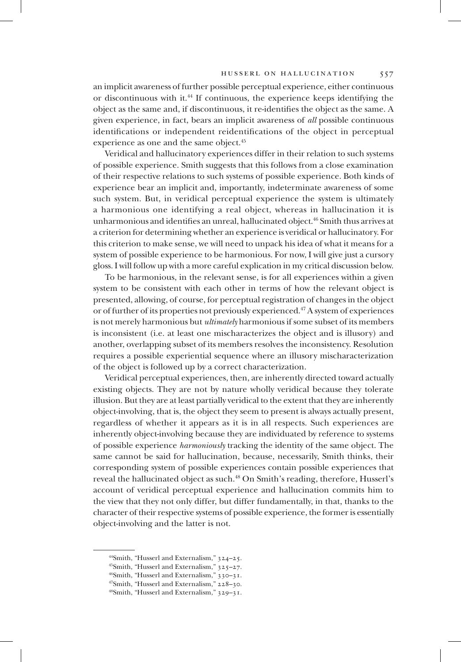an implicit awareness of further possible perceptual experience, either continuous or discontinuous with it.<sup>44</sup> If continuous, the experience keeps identifying the object as the same and, if discontinuous, it re-identifies the object as the same. A given experience, in fact, bears an implicit awareness of *all* possible continuous identifications or independent reidentifications of the object in perceptual experience as one and the same object.<sup>45</sup>

Veridical and hallucinatory experiences differ in their relation to such systems of possible experience. Smith suggests that this follows from a close examination of their respective relations to such systems of possible experience. Both kinds of experience bear an implicit and, importantly, indeterminate awareness of some such system. But, in veridical perceptual experience the system is ultimately a harmonious one identifying a real object, whereas in hallucination it is unharmonious and identifies an unreal, hallucinated object.<sup>46</sup> Smith thus arrives at a criterion for determining whether an experience is veridical or hallucinatory. For this criterion to make sense, we will need to unpack his idea of what it means for a system of possible experience to be harmonious. For now, I will give just a cursory gloss. I will follow up with a more careful explication in my critical discussion below.

To be harmonious, in the relevant sense, is for all experiences within a given system to be consistent with each other in terms of how the relevant object is presented, allowing, of course, for perceptual registration of changes in the object or of further of its properties not previously experienced.<sup>47</sup> A system of experiences is not merely harmonious but *ultimately* harmonious if some subset of its members is inconsistent (i.e. at least one mischaracterizes the object and is illusory) and another, overlapping subset of its members resolves the inconsistency. Resolution requires a possible experiential sequence where an illusory mischaracterization of the object is followed up by a correct characterization.

Veridical perceptual experiences, then, are inherently directed toward actually existing objects. They are not by nature wholly veridical because they tolerate illusion. But they are at least partially veridical to the extent that they are inherently object-involving, that is, the object they seem to present is always actually present, regardless of whether it appears as it is in all respects. Such experiences are inherently object-involving because they are individuated by reference to systems of possible experience *harmoniously* tracking the identity of the same object. The same cannot be said for hallucination, because, necessarily, Smith thinks, their corresponding system of possible experiences contain possible experiences that reveal the hallucinated object as such.48 On Smith's reading, therefore, Husserl's account of veridical perceptual experience and hallucination commits him to the view that they not only differ, but differ fundamentally, in that, thanks to the character of their respective systems of possible experience, the former is essentially object-involving and the latter is not.

<sup>44</sup>Smith, "Husserl and Externalism," 324–25.

<sup>45</sup>Smith, "Husserl and Externalism," 325–27.

<sup>46</sup>Smith, "Husserl and Externalism," 330–31.

<sup>47</sup>Smith, "Husserl and Externalism," 228–30.

<sup>48</sup>Smith, "Husserl and Externalism," 329–31.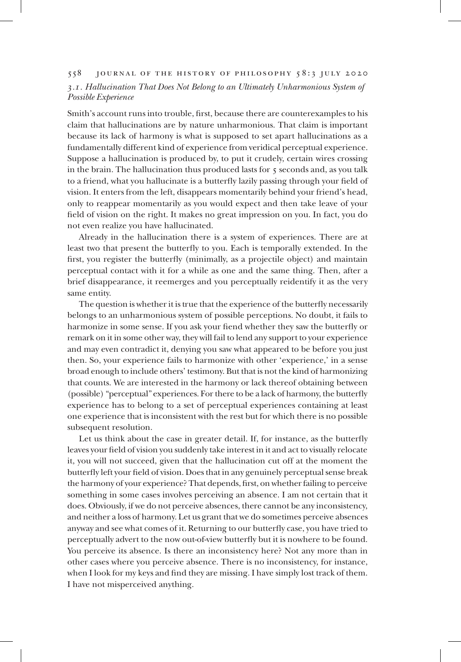# *3.1. Hallucination That Does Not Belong to an Ultimately Unharmonious System of Possible Experience*

Smith's account runs into trouble, first, because there are counterexamples to his claim that hallucinations are by nature unharmonious. That claim is important because its lack of harmony is what is supposed to set apart hallucinations as a fundamentally different kind of experience from veridical perceptual experience. Suppose a hallucination is produced by, to put it crudely, certain wires crossing in the brain. The hallucination thus produced lasts for  $\zeta$  seconds and, as you talk to a friend, what you hallucinate is a butterfly lazily passing through your field of vision. It enters from the left, disappears momentarily behind your friend's head, only to reappear momentarily as you would expect and then take leave of your field of vision on the right. It makes no great impression on you. In fact, you do not even realize you have hallucinated.

Already in the hallucination there is a system of experiences. There are at least two that present the butterfly to you. Each is temporally extended. In the first, you register the butterfly (minimally, as a projectile object) and maintain perceptual contact with it for a while as one and the same thing. Then, after a brief disappearance, it reemerges and you perceptually reidentify it as the very same entity.

The question is whether it is true that the experience of the butterfly necessarily belongs to an unharmonious system of possible perceptions. No doubt, it fails to harmonize in some sense. If you ask your fiend whether they saw the butterfly or remark on it in some other way, they will fail to lend any support to your experience and may even contradict it, denying you saw what appeared to be before you just then. So, your experience fails to harmonize with other 'experience,' in a sense broad enough to include others' testimony. But that is not the kind of harmonizing that counts. We are interested in the harmony or lack thereof obtaining between (possible) "perceptual" experiences. For there to be a lack of harmony, the butterfly experience has to belong to a set of perceptual experiences containing at least one experience that is inconsistent with the rest but for which there is no possible subsequent resolution.

Let us think about the case in greater detail. If, for instance, as the butterfly leaves your field of vision you suddenly take interest in it and act to visually relocate it, you will not succeed, given that the hallucination cut off at the moment the butterfly left your field of vision. Does that in any genuinely perceptual sense break the harmony of your experience? That depends, first, on whether failing to perceive something in some cases involves perceiving an absence. I am not certain that it does. Obviously, if we do not perceive absences, there cannot be any inconsistency, and neither a loss of harmony. Let us grant that we do sometimes perceive absences anyway and see what comes of it. Returning to our butterfly case, you have tried to perceptually advert to the now out-of-view butterfly but it is nowhere to be found. You perceive its absence. Is there an inconsistency here? Not any more than in other cases where you perceive absence. There is no inconsistency, for instance, when I look for my keys and find they are missing. I have simply lost track of them. I have not misperceived anything.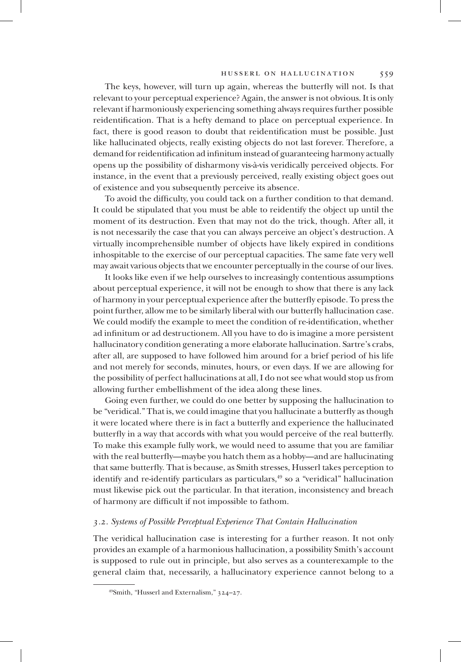The keys, however, will turn up again, whereas the butterfly will not. Is that relevant to your perceptual experience? Again, the answer is not obvious. It is only relevant if harmoniously experiencing something always requires further possible reidentification. That is a hefty demand to place on perceptual experience. In fact, there is good reason to doubt that reidentification must be possible. Just like hallucinated objects, really existing objects do not last forever. Therefore, a demand for reidentification ad infinitum instead of guaranteeing harmony actually opens up the possibility of disharmony vis-à-vis veridically perceived objects. For instance, in the event that a previously perceived, really existing object goes out of existence and you subsequently perceive its absence.

To avoid the difficulty, you could tack on a further condition to that demand. It could be stipulated that you must be able to reidentify the object up until the moment of its destruction. Even that may not do the trick, though. After all, it is not necessarily the case that you can always perceive an object's destruction. A virtually incomprehensible number of objects have likely expired in conditions inhospitable to the exercise of our perceptual capacities. The same fate very well may await various objects that we encounter perceptually in the course of our lives.

It looks like even if we help ourselves to increasingly contentious assumptions about perceptual experience, it will not be enough to show that there is any lack of harmony in your perceptual experience after the butterfly episode. To press the point further, allow me to be similarly liberal with our butterfly hallucination case. We could modify the example to meet the condition of re-identification, whether ad infinitum or ad destructionem. All you have to do is imagine a more persistent hallucinatory condition generating a more elaborate hallucination. Sartre's crabs, after all, are supposed to have followed him around for a brief period of his life and not merely for seconds, minutes, hours, or even days. If we are allowing for the possibility of perfect hallucinations at all, I do not see what would stop us from allowing further embellishment of the idea along these lines.

Going even further, we could do one better by supposing the hallucination to be "veridical." That is, we could imagine that you hallucinate a butterfly as though it were located where there is in fact a butterfly and experience the hallucinated butterfly in a way that accords with what you would perceive of the real butterfly. To make this example fully work, we would need to assume that you are familiar with the real butterfly—maybe you hatch them as a hobby—and are hallucinating that same butterfly. That is because, as Smith stresses, Husserl takes perception to identify and re-identify particulars as particulars, $49$  so a "veridical" hallucination must likewise pick out the particular. In that iteration, inconsistency and breach of harmony are difficult if not impossible to fathom.

# *3.2. Systems of Possible Perceptual Experience That Contain Hallucination*

The veridical hallucination case is interesting for a further reason. It not only provides an example of a harmonious hallucination, a possibility Smith's account is supposed to rule out in principle, but also serves as a counterexample to the general claim that, necessarily, a hallucinatory experience cannot belong to a

<sup>49</sup>Smith, "Husserl and Externalism," 324–27.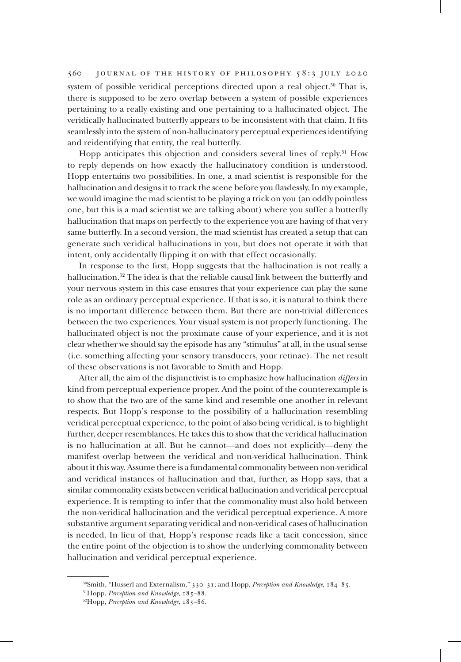system of possible veridical perceptions directed upon a real object.<sup>50</sup> That is, there is supposed to be zero overlap between a system of possible experiences pertaining to a really existing and one pertaining to a hallucinated object. The veridically hallucinated butterfly appears to be inconsistent with that claim. It fits seamlessly into the system of non-hallucinatory perceptual experiences identifying and reidentifying that entity, the real butterfly.

Hopp anticipates this objection and considers several lines of reply.<sup>51</sup> How to reply depends on how exactly the hallucinatory condition is understood. Hopp entertains two possibilities. In one, a mad scientist is responsible for the hallucination and designs it to track the scene before you flawlessly. In my example, we would imagine the mad scientist to be playing a trick on you (an oddly pointless one, but this is a mad scientist we are talking about) where you suffer a butterfly hallucination that maps on perfectly to the experience you are having of that very same butterfly. In a second version, the mad scientist has created a setup that can generate such veridical hallucinations in you, but does not operate it with that intent, only accidentally flipping it on with that effect occasionally.

In response to the first, Hopp suggests that the hallucination is not really a hallucination.<sup>52</sup> The idea is that the reliable causal link between the butterfly and your nervous system in this case ensures that your experience can play the same role as an ordinary perceptual experience. If that is so, it is natural to think there is no important difference between them. But there are non-trivial differences between the two experiences. Your visual system is not properly functioning. The hallucinated object is not the proximate cause of your experience, and it is not clear whether we should say the episode has any "stimulus" at all, in the usual sense (i.e. something affecting your sensory transducers, your retinae). The net result of these observations is not favorable to Smith and Hopp.

After all, the aim of the disjunctivist is to emphasize how hallucination *differs* in kind from perceptual experience proper. And the point of the counterexample is to show that the two are of the same kind and resemble one another in relevant respects. But Hopp's response to the possibility of a hallucination resembling veridical perceptual experience, to the point of also being veridical, is to highlight further, deeper resemblances. He takes this to show that the veridical hallucination is no hallucination at all. But he cannot—and does not explicitly—deny the manifest overlap between the veridical and non-veridical hallucination. Think about it this way. Assume there is a fundamental commonality between non-veridical and veridical instances of hallucination and that, further, as Hopp says, that a similar commonality exists between veridical hallucination and veridical perceptual experience. It is tempting to infer that the commonality must also hold between the non-veridical hallucination and the veridical perceptual experience. A more substantive argument separating veridical and non-veridical cases of hallucination is needed. In lieu of that, Hopp's response reads like a tacit concession, since the entire point of the objection is to show the underlying commonality between hallucination and veridical perceptual experience.

<sup>50</sup>Smith, "Husserl and Externalism," 330–31; and Hopp, *Perception and Knowledge*, 184–85.

<sup>51</sup>Hopp, *Perception and Knowledge*, 185–88.

<sup>52</sup>Hopp, *Perception and Knowledge*, 185–86.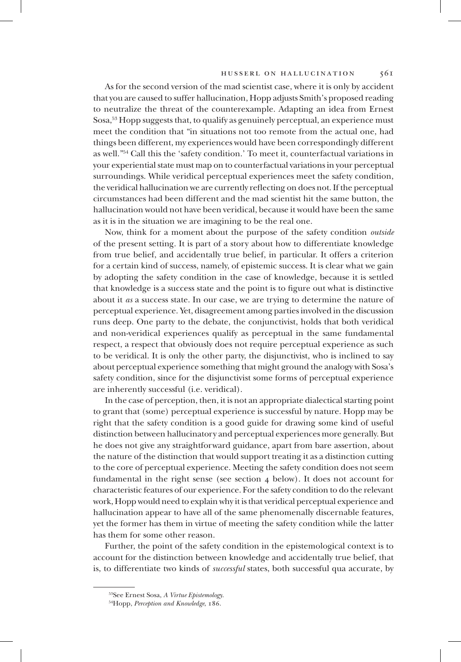As for the second version of the mad scientist case, where it is only by accident that you are caused to suffer hallucination, Hopp adjusts Smith's proposed reading to neutralize the threat of the counterexample. Adapting an idea from Ernest Sosa,53 Hopp suggests that, to qualify as genuinely perceptual, an experience must meet the condition that "in situations not too remote from the actual one, had things been different, my experiences would have been correspondingly different as well."54 Call this the 'safety condition.' To meet it, counterfactual variations in your experiential state must map on to counterfactual variations in your perceptual surroundings. While veridical perceptual experiences meet the safety condition, the veridical hallucination we are currently reflecting on does not. If the perceptual circumstances had been different and the mad scientist hit the same button, the hallucination would not have been veridical, because it would have been the same as it is in the situation we are imagining to be the real one.

Now, think for a moment about the purpose of the safety condition *outside* of the present setting. It is part of a story about how to differentiate knowledge from true belief, and accidentally true belief, in particular. It offers a criterion for a certain kind of success, namely, of epistemic success. It is clear what we gain by adopting the safety condition in the case of knowledge, because it is settled that knowledge is a success state and the point is to figure out what is distinctive about it *as* a success state. In our case, we are trying to determine the nature of perceptual experience. Yet, disagreement among parties involved in the discussion runs deep. One party to the debate, the conjunctivist, holds that both veridical and non-veridical experiences qualify as perceptual in the same fundamental respect, a respect that obviously does not require perceptual experience as such to be veridical. It is only the other party, the disjunctivist, who is inclined to say about perceptual experience something that might ground the analogy with Sosa's safety condition, since for the disjunctivist some forms of perceptual experience are inherently successful (i.e. veridical).

In the case of perception, then, it is not an appropriate dialectical starting point to grant that (some) perceptual experience is successful by nature. Hopp may be right that the safety condition is a good guide for drawing some kind of useful distinction between hallucinatory and perceptual experiences more generally. But he does not give any straightforward guidance, apart from bare assertion, about the nature of the distinction that would support treating it as a distinction cutting to the core of perceptual experience. Meeting the safety condition does not seem fundamental in the right sense (see section 4 below). It does not account for characteristic features of our experience. For the safety condition to do the relevant work, Hopp would need to explain why it is that veridical perceptual experience and hallucination appear to have all of the same phenomenally discernable features, yet the former has them in virtue of meeting the safety condition while the latter has them for some other reason.

Further, the point of the safety condition in the epistemological context is to account for the distinction between knowledge and accidentally true belief, that is, to differentiate two kinds of *successful* states, both successful qua accurate, by

<sup>53</sup>See Ernest Sosa, *A Virtue Epistemology*.

<sup>54</sup>Hopp, *Perception and Knowledge*, 186.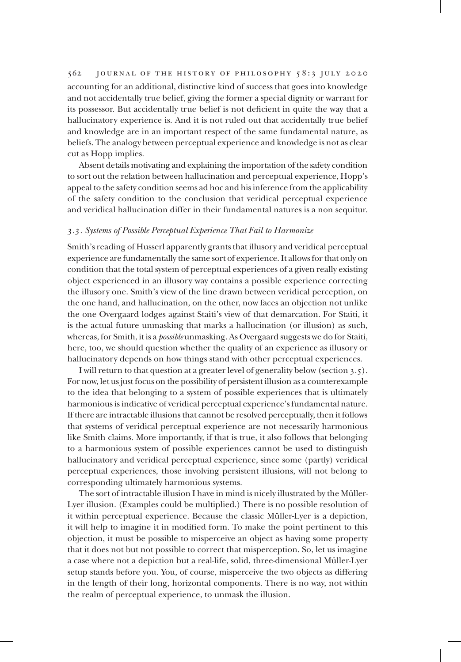accounting for an additional, distinctive kind of success that goes into knowledge and not accidentally true belief, giving the former a special dignity or warrant for its possessor. But accidentally true belief is not deficient in quite the way that a hallucinatory experience is. And it is not ruled out that accidentally true belief and knowledge are in an important respect of the same fundamental nature, as beliefs. The analogy between perceptual experience and knowledge is not as clear cut as Hopp implies.

Absent details motivating and explaining the importation of the safety condition to sort out the relation between hallucination and perceptual experience, Hopp's appeal to the safety condition seems ad hoc and his inference from the applicability of the safety condition to the conclusion that veridical perceptual experience and veridical hallucination differ in their fundamental natures is a non sequitur.

# *3.3. Systems of Possible Perceptual Experience That Fail to Harmonize*

Smith's reading of Husserl apparently grants that illusory and veridical perceptual experience are fundamentally the same sort of experience. It allows for that only on condition that the total system of perceptual experiences of a given really existing object experienced in an illusory way contains a possible experience correcting the illusory one. Smith's view of the line drawn between veridical perception, on the one hand, and hallucination, on the other, now faces an objection not unlike the one Overgaard lodges against Staiti's view of that demarcation. For Staiti, it is the actual future unmasking that marks a hallucination (or illusion) as such, whereas, for Smith, it is a *possible* unmasking. As Overgaard suggests we do for Staiti, here, too, we should question whether the quality of an experience as illusory or hallucinatory depends on how things stand with other perceptual experiences.

I will return to that question at a greater level of generality below (section 3.5). For now, let us just focus on the possibility of persistent illusion as a counterexample to the idea that belonging to a system of possible experiences that is ultimately harmonious is indicative of veridical perceptual experience's fundamental nature. If there are intractable illusions that cannot be resolved perceptually, then it follows that systems of veridical perceptual experience are not necessarily harmonious like Smith claims. More importantly, if that is true, it also follows that belonging to a harmonious system of possible experiences cannot be used to distinguish hallucinatory and veridical perceptual experience, since some (partly) veridical perceptual experiences, those involving persistent illusions, will not belong to corresponding ultimately harmonious systems.

The sort of intractable illusion I have in mind is nicely illustrated by the Müller-Lyer illusion. (Examples could be multiplied.) There is no possible resolution of it within perceptual experience. Because the classic Müller-Lyer is a depiction, it will help to imagine it in modified form. To make the point pertinent to this objection, it must be possible to misperceive an object as having some property that it does not but not possible to correct that misperception. So, let us imagine a case where not a depiction but a real-life, solid, three-dimensional Müller-Lyer setup stands before you. You, of course, misperceive the two objects as differing in the length of their long, horizontal components. There is no way, not within the realm of perceptual experience, to unmask the illusion.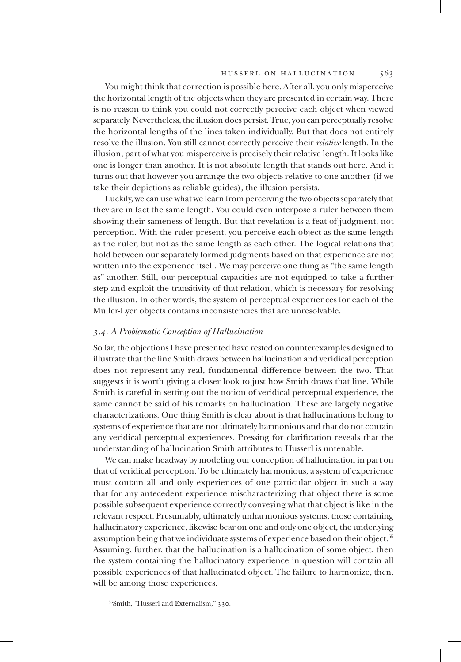You might think that correction is possible here. After all, you only misperceive the horizontal length of the objects when they are presented in certain way. There is no reason to think you could not correctly perceive each object when viewed separately. Nevertheless, the illusion does persist. True, you can perceptually resolve the horizontal lengths of the lines taken individually. But that does not entirely resolve the illusion. You still cannot correctly perceive their *relative* length. In the illusion, part of what you misperceive is precisely their relative length. It looks like one is longer than another. It is not absolute length that stands out here. And it turns out that however you arrange the two objects relative to one another (if we take their depictions as reliable guides), the illusion persists.

Luckily, we can use what we learn from perceiving the two objects separately that they are in fact the same length. You could even interpose a ruler between them showing their sameness of length. But that revelation is a feat of judgment, not perception. With the ruler present, you perceive each object as the same length as the ruler, but not as the same length as each other. The logical relations that hold between our separately formed judgments based on that experience are not written into the experience itself. We may perceive one thing as "the same length as" another. Still, our perceptual capacities are not equipped to take a further step and exploit the transitivity of that relation, which is necessary for resolving the illusion. In other words, the system of perceptual experiences for each of the Müller-Lyer objects contains inconsistencies that are unresolvable.

# *3.4. A Problematic Conception of Hallucination*

So far, the objections I have presented have rested on counterexamples designed to illustrate that the line Smith draws between hallucination and veridical perception does not represent any real, fundamental difference between the two. That suggests it is worth giving a closer look to just how Smith draws that line. While Smith is careful in setting out the notion of veridical perceptual experience, the same cannot be said of his remarks on hallucination. These are largely negative characterizations. One thing Smith is clear about is that hallucinations belong to systems of experience that are not ultimately harmonious and that do not contain any veridical perceptual experiences. Pressing for clarification reveals that the understanding of hallucination Smith attributes to Husserl is untenable.

We can make headway by modeling our conception of hallucination in part on that of veridical perception. To be ultimately harmonious, a system of experience must contain all and only experiences of one particular object in such a way that for any antecedent experience mischaracterizing that object there is some possible subsequent experience correctly conveying what that object is like in the relevant respect. Presumably, ultimately unharmonious systems, those containing hallucinatory experience, likewise bear on one and only one object, the underlying assumption being that we individuate systems of experience based on their object.<sup>55</sup> Assuming, further, that the hallucination is a hallucination of some object, then the system containing the hallucinatory experience in question will contain all possible experiences of that hallucinated object. The failure to harmonize, then, will be among those experiences.

<sup>55</sup>Smith, "Husserl and Externalism," 330.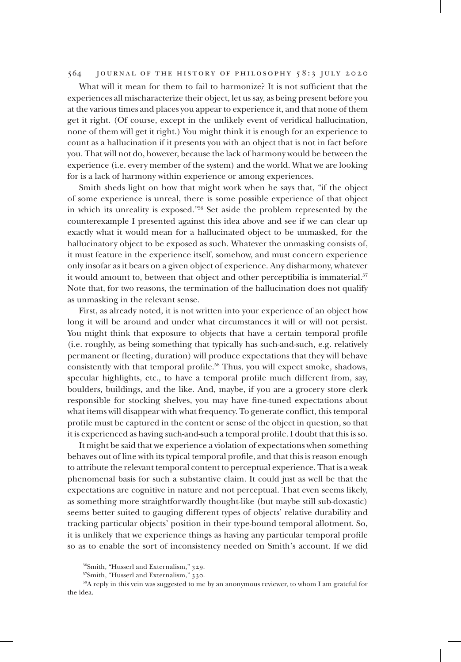What will it mean for them to fail to harmonize? It is not sufficient that the experiences all mischaracterize their object, let us say, as being present before you at the various times and places you appear to experience it, and that none of them get it right. (Of course, except in the unlikely event of veridical hallucination, none of them will get it right.) You might think it is enough for an experience to count as a hallucination if it presents you with an object that is not in fact before you. That will not do, however, because the lack of harmony would be between the experience (i.e. every member of the system) and the world. What we are looking for is a lack of harmony within experience or among experiences.

Smith sheds light on how that might work when he says that, "if the object of some experience is unreal, there is some possible experience of that object in which its unreality is exposed."56 Set aside the problem represented by the counterexample I presented against this idea above and see if we can clear up exactly what it would mean for a hallucinated object to be unmasked, for the hallucinatory object to be exposed as such. Whatever the unmasking consists of, it must feature in the experience itself, somehow, and must concern experience only insofar as it bears on a given object of experience. Any disharmony, whatever it would amount to, between that object and other perceptibilia is immaterial.<sup>57</sup> Note that, for two reasons, the termination of the hallucination does not qualify as unmasking in the relevant sense.

First, as already noted, it is not written into your experience of an object how long it will be around and under what circumstances it will or will not persist. You might think that exposure to objects that have a certain temporal profile (i.e. roughly, as being something that typically has such-and-such, e.g. relatively permanent or fleeting, duration) will produce expectations that they will behave consistently with that temporal profile.<sup>58</sup> Thus, you will expect smoke, shadows, specular highlights, etc., to have a temporal profile much different from, say, boulders, buildings, and the like. And, maybe, if you are a grocery store clerk responsible for stocking shelves, you may have fine-tuned expectations about what items will disappear with what frequency. To generate conflict, this temporal profile must be captured in the content or sense of the object in question, so that it is experienced as having such-and-such a temporal profile. I doubt that this is so.

It might be said that we experience a violation of expectations when something behaves out of line with its typical temporal profile, and that this is reason enough to attribute the relevant temporal content to perceptual experience. That is a weak phenomenal basis for such a substantive claim. It could just as well be that the expectations are cognitive in nature and not perceptual. That even seems likely, as something more straightforwardly thought-like (but maybe still sub-doxastic) seems better suited to gauging different types of objects' relative durability and tracking particular objects' position in their type-bound temporal allotment. So, it is unlikely that we experience things as having any particular temporal profile so as to enable the sort of inconsistency needed on Smith's account. If we did

<sup>56</sup>Smith, "Husserl and Externalism," 329.

<sup>57</sup>Smith, "Husserl and Externalism," 330.

<sup>58</sup>A reply in this vein was suggested to me by an anonymous reviewer, to whom I am grateful for the idea.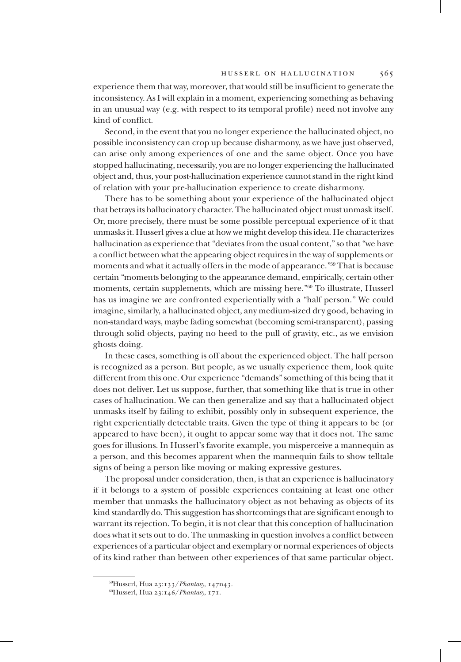experience them that way, moreover, that would still be insufficient to generate the inconsistency. As I will explain in a moment, experiencing something as behaving in an unusual way (e.g. with respect to its temporal profile) need not involve any kind of conflict.

Second, in the event that you no longer experience the hallucinated object, no possible inconsistency can crop up because disharmony, as we have just observed, can arise only among experiences of one and the same object. Once you have stopped hallucinating, necessarily, you are no longer experiencing the hallucinated object and, thus, your post-hallucination experience cannot stand in the right kind of relation with your pre-hallucination experience to create disharmony.

There has to be something about your experience of the hallucinated object that betrays its hallucinatory character. The hallucinated object must unmask itself. Or, more precisely, there must be some possible perceptual experience of it that unmasks it. Husserl gives a clue at how we might develop this idea. He characterizes hallucination as experience that "deviates from the usual content," so that "we have a conflict between what the appearing object requires in the way of supplements or moments and what it actually offers in the mode of appearance."59 That is because certain "moments belonging to the appearance demand, empirically, certain other moments, certain supplements, which are missing here."60 To illustrate, Husserl has us imagine we are confronted experientially with a "half person." We could imagine, similarly, a hallucinated object, any medium-sized dry good, behaving in non-standard ways, maybe fading somewhat (becoming semi-transparent), passing through solid objects, paying no heed to the pull of gravity, etc., as we envision ghosts doing.

In these cases, something is off about the experienced object. The half person is recognized as a person. But people, as we usually experience them, look quite different from this one. Our experience "demands" something of this being that it does not deliver. Let us suppose, further, that something like that is true in other cases of hallucination. We can then generalize and say that a hallucinated object unmasks itself by failing to exhibit, possibly only in subsequent experience, the right experientially detectable traits. Given the type of thing it appears to be (or appeared to have been), it ought to appear some way that it does not. The same goes for illusions. In Husserl's favorite example, you misperceive a mannequin as a person, and this becomes apparent when the mannequin fails to show telltale signs of being a person like moving or making expressive gestures.

The proposal under consideration, then, is that an experience is hallucinatory if it belongs to a system of possible experiences containing at least one other member that unmasks the hallucinatory object as not behaving as objects of its kind standardly do. This suggestion has shortcomings that are significant enough to warrant its rejection. To begin, it is not clear that this conception of hallucination does what it sets out to do. The unmasking in question involves a conflict between experiences of a particular object and exemplary or normal experiences of objects of its kind rather than between other experiences of that same particular object.

<sup>59</sup>Husserl, Hua 23:133/*Phantasy*, 147n43.

<sup>60</sup>Husserl, Hua 23:146/*Phantasy*, 171.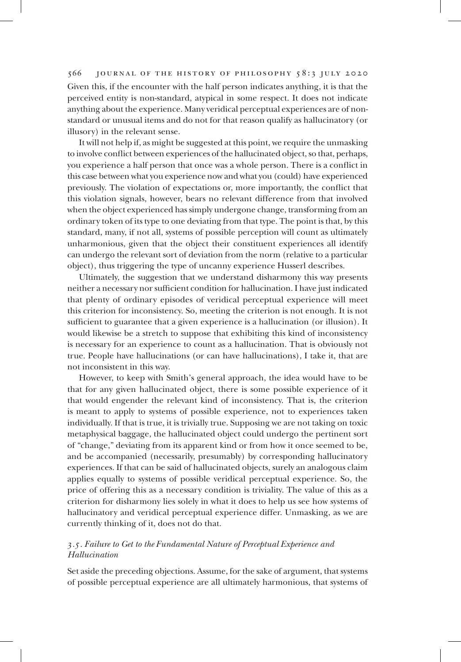Given this, if the encounter with the half person indicates anything, it is that the perceived entity is non-standard, atypical in some respect. It does not indicate anything about the experience. Many veridical perceptual experiences are of nonstandard or unusual items and do not for that reason qualify as hallucinatory (or illusory) in the relevant sense.

It will not help if, as might be suggested at this point, we require the unmasking to involve conflict between experiences of the hallucinated object, so that, perhaps, you experience a half person that once was a whole person. There is a conflict in this case between what you experience now and what you (could) have experienced previously. The violation of expectations or, more importantly, the conflict that this violation signals, however, bears no relevant difference from that involved when the object experienced has simply undergone change, transforming from an ordinary token of its type to one deviating from that type. The point is that, by this standard, many, if not all, systems of possible perception will count as ultimately unharmonious, given that the object their constituent experiences all identify can undergo the relevant sort of deviation from the norm (relative to a particular object), thus triggering the type of uncanny experience Husserl describes.

Ultimately, the suggestion that we understand disharmony this way presents neither a necessary nor sufficient condition for hallucination. I have just indicated that plenty of ordinary episodes of veridical perceptual experience will meet this criterion for inconsistency. So, meeting the criterion is not enough. It is not sufficient to guarantee that a given experience is a hallucination (or illusion). It would likewise be a stretch to suppose that exhibiting this kind of inconsistency is necessary for an experience to count as a hallucination. That is obviously not true. People have hallucinations (or can have hallucinations), I take it, that are not inconsistent in this way.

However, to keep with Smith's general approach, the idea would have to be that for any given hallucinated object, there is some possible experience of it that would engender the relevant kind of inconsistency. That is, the criterion is meant to apply to systems of possible experience, not to experiences taken individually. If that is true, it is trivially true. Supposing we are not taking on toxic metaphysical baggage, the hallucinated object could undergo the pertinent sort of "change," deviating from its apparent kind or from how it once seemed to be, and be accompanied (necessarily, presumably) by corresponding hallucinatory experiences. If that can be said of hallucinated objects, surely an analogous claim applies equally to systems of possible veridical perceptual experience. So, the price of offering this as a necessary condition is triviality. The value of this as a criterion for disharmony lies solely in what it does to help us see how systems of hallucinatory and veridical perceptual experience differ. Unmasking, as we are currently thinking of it, does not do that.

# *3.5. Failure to Get to the Fundamental Nature of Perceptual Experience and Hallucination*

Set aside the preceding objections. Assume, for the sake of argument, that systems of possible perceptual experience are all ultimately harmonious, that systems of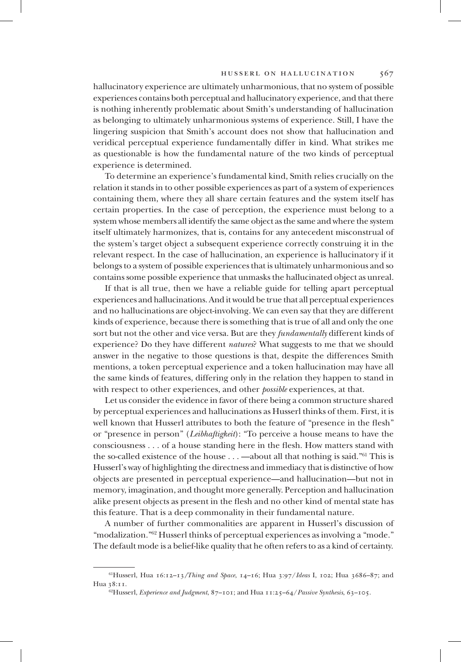hallucinatory experience are ultimately unharmonious, that no system of possible experiences contains both perceptual and hallucinatory experience, and that there is nothing inherently problematic about Smith's understanding of hallucination as belonging to ultimately unharmonious systems of experience. Still, I have the lingering suspicion that Smith's account does not show that hallucination and veridical perceptual experience fundamentally differ in kind. What strikes me as questionable is how the fundamental nature of the two kinds of perceptual experience is determined.

To determine an experience's fundamental kind, Smith relies crucially on the relation it stands in to other possible experiences as part of a system of experiences containing them, where they all share certain features and the system itself has certain properties. In the case of perception, the experience must belong to a system whose members all identify the same object as the same and where the system itself ultimately harmonizes, that is, contains for any antecedent misconstrual of the system's target object a subsequent experience correctly construing it in the relevant respect. In the case of hallucination, an experience is hallucinatory if it belongs to a system of possible experiences that is ultimately unharmonious and so contains some possible experience that unmasks the hallucinated object as unreal.

If that is all true, then we have a reliable guide for telling apart perceptual experiences and hallucinations. And it would be true that all perceptual experiences and no hallucinations are object-involving. We can even say that they are different kinds of experience, because there is something that is true of all and only the one sort but not the other and vice versa. But are they *fundamentally* different kinds of experience? Do they have different *natures*? What suggests to me that we should answer in the negative to those questions is that, despite the differences Smith mentions, a token perceptual experience and a token hallucination may have all the same kinds of features, differing only in the relation they happen to stand in with respect to other experiences, and other *possible* experiences, at that.

Let us consider the evidence in favor of there being a common structure shared by perceptual experiences and hallucinations as Husserl thinks of them. First, it is well known that Husserl attributes to both the feature of "presence in the flesh" or "presence in person" (*Leibhaftigkeit*): "To perceive a house means to have the consciousness . . . of a house standing here in the flesh. How matters stand with the so-called existence of the house . . . —about all that nothing is said."61 This is Husserl's way of highlighting the directness and immediacy that is distinctive of how objects are presented in perceptual experience—and hallucination—but not in memory, imagination, and thought more generally. Perception and hallucination alike present objects as present in the flesh and no other kind of mental state has this feature. That is a deep commonality in their fundamental nature.

A number of further commonalities are apparent in Husserl's discussion of "modalization."62 Husserl thinks of perceptual experiences as involving a "mode." The default mode is a belief-like quality that he often refers to as a kind of certainty.

<sup>61</sup>Husserl, Hua 16:12–13*/Thing and Space*, 14–16; Hua 3:97/*Ideas* I, 102; Hua 3686–87; and Hua 38:11.

<sup>62</sup>Husserl, *Experience and Judgment*, 87–101; and Hua 11:25–64/*Passive Synthesis*, 63–105.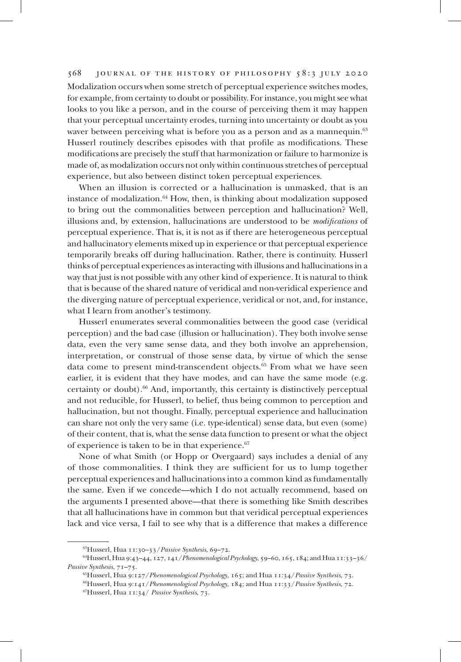Modalization occurs when some stretch of perceptual experience switches modes, for example, from certainty to doubt or possibility. For instance, you might see what looks to you like a person, and in the course of perceiving them it may happen that your perceptual uncertainty erodes, turning into uncertainty or doubt as you waver between perceiving what is before you as a person and as a mannequin.<sup>63</sup> Husserl routinely describes episodes with that profile as modifications. These modifications are precisely the stuff that harmonization or failure to harmonize is made of, as modalization occurs not only within continuous stretches of perceptual experience, but also between distinct token perceptual experiences.

When an illusion is corrected or a hallucination is unmasked, that is an instance of modalization.<sup>64</sup> How, then, is thinking about modalization supposed to bring out the commonalities between perception and hallucination? Well, illusions and, by extension, hallucinations are understood to be *modifications* of perceptual experience. That is, it is not as if there are heterogeneous perceptual and hallucinatory elements mixed up in experience or that perceptual experience temporarily breaks off during hallucination. Rather, there is continuity. Husserl thinks of perceptual experiences as interacting with illusions and hallucinations in a way that just is not possible with any other kind of experience. It is natural to think that is because of the shared nature of veridical and non-veridical experience and the diverging nature of perceptual experience, veridical or not, and, for instance, what I learn from another's testimony.

Husserl enumerates several commonalities between the good case (veridical perception) and the bad case (illusion or hallucination). They both involve sense data, even the very same sense data, and they both involve an apprehension, interpretation, or construal of those sense data, by virtue of which the sense data come to present mind-transcendent objects.<sup>65</sup> From what we have seen earlier, it is evident that they have modes, and can have the same mode (e.g. certainty or doubt).66 And, importantly, this certainty is distinctively perceptual and not reducible, for Husserl, to belief, thus being common to perception and hallucination, but not thought. Finally, perceptual experience and hallucination can share not only the very same (i.e. type-identical) sense data, but even (some) of their content, that is, what the sense data function to present or what the object of experience is taken to be in that experience. $67$ 

None of what Smith (or Hopp or Overgaard) says includes a denial of any of those commonalities. I think they are sufficient for us to lump together perceptual experiences and hallucinations into a common kind as fundamentally the same. Even if we concede—which I do not actually recommend, based on the arguments I presented above—that there is something like Smith describes that all hallucinations have in common but that veridical perceptual experiences lack and vice versa, I fail to see why that is a difference that makes a difference

<sup>63</sup>Husserl, Hua 11:30–33/*Passive Synthesis*, 69–72.

<sup>64</sup>Husserl, Hua 9:43–44, 127, 141/*Phenomenological Psychology*, 59–60, 165, 184; and Hua 11:33–36/ *Passive Synthesis*, 71–75.

<sup>65</sup>Husserl, Hua 9:127/*Phenomenological Psychology*, 165; and Hua 11:34/*Passive Synthesis*, 73.

<sup>66</sup>Husserl, Hua 9:141/*Phenomenological Psychology*, 184; and Hua 11:33/*Passive Synthesis*, 72.

<sup>67</sup>Husserl, Hua 11:34/ *Passive Synthesis*, 73.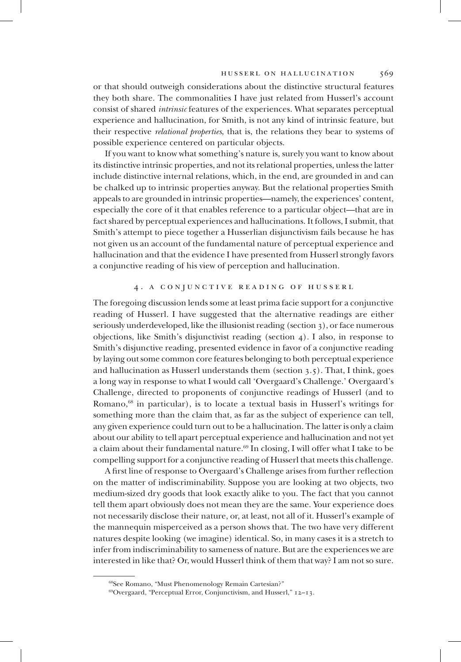or that should outweigh considerations about the distinctive structural features they both share. The commonalities I have just related from Husserl's account consist of shared *intrinsic* features of the experiences. What separates perceptual experience and hallucination, for Smith, is not any kind of intrinsic feature, but their respective *relational properties*, that is, the relations they bear to systems of possible experience centered on particular objects.

If you want to know what something's nature is, surely you want to know about its distinctive intrinsic properties, and not its relational properties, unless the latter include distinctive internal relations, which, in the end, are grounded in and can be chalked up to intrinsic properties anyway. But the relational properties Smith appeals to are grounded in intrinsic properties—namely, the experiences' content, especially the core of it that enables reference to a particular object—that are in fact shared by perceptual experiences and hallucinations. It follows, I submit, that Smith's attempt to piece together a Husserlian disjunctivism fails because he has not given us an account of the fundamental nature of perceptual experience and hallucination and that the evidence I have presented from Husserl strongly favors a conjunctive reading of his view of perception and hallucination.

# 4 . a conjunctive reading of husserl

The foregoing discussion lends some at least prima facie support for a conjunctive reading of Husserl. I have suggested that the alternative readings are either seriously underdeveloped, like the illusionist reading (section 3), or face numerous objections, like Smith's disjunctivist reading (section 4). I also, in response to Smith's disjunctive reading, presented evidence in favor of a conjunctive reading by laying out some common core features belonging to both perceptual experience and hallucination as Husserl understands them (section  $3.5$ ). That, I think, goes a long way in response to what I would call 'Overgaard's Challenge.' Overgaard's Challenge, directed to proponents of conjunctive readings of Husserl (and to Romano, $68$  in particular), is to locate a textual basis in Husserl's writings for something more than the claim that, as far as the subject of experience can tell, any given experience could turn out to be a hallucination. The latter is only a claim about our ability to tell apart perceptual experience and hallucination and not yet a claim about their fundamental nature.<sup>69</sup> In closing, I will offer what I take to be compelling support for a conjunctive reading of Husserl that meets this challenge.

A first line of response to Overgaard's Challenge arises from further reflection on the matter of indiscriminability. Suppose you are looking at two objects, two medium-sized dry goods that look exactly alike to you. The fact that you cannot tell them apart obviously does not mean they are the same. Your experience does not necessarily disclose their nature, or, at least, not all of it. Husserl's example of the mannequin misperceived as a person shows that. The two have very different natures despite looking (we imagine) identical. So, in many cases it is a stretch to infer from indiscriminability to sameness of nature. But are the experiences we are interested in like that? Or, would Husserl think of them that way? I am not so sure.

<sup>68</sup>See Romano, "Must Phenomenology Remain Cartesian?"

<sup>69</sup>Overgaard, "Perceptual Error, Conjunctivism, and Husserl," 12–13.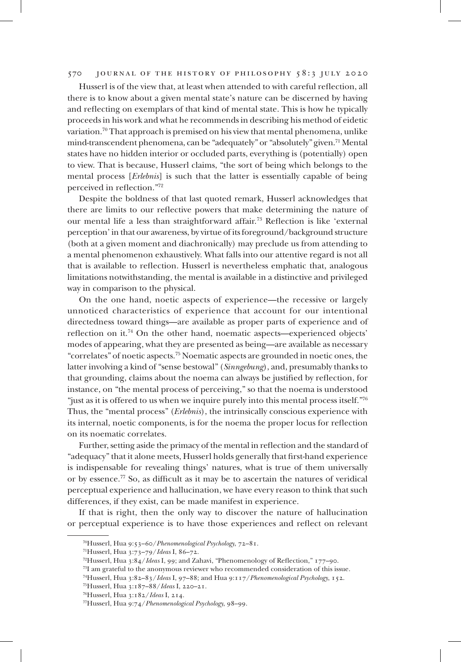Husserl is of the view that, at least when attended to with careful reflection, all there is to know about a given mental state's nature can be discerned by having and reflecting on exemplars of that kind of mental state. This is how he typically proceeds in his work and what he recommends in describing his method of eidetic variation.<sup>70</sup> That approach is premised on his view that mental phenomena, unlike mind-transcendent phenomena, can be "adequately" or "absolutely" given.71 Mental states have no hidden interior or occluded parts, everything is (potentially) open to view. That is because, Husserl claims, "the sort of being which belongs to the mental process [*Erlebnis*] is such that the latter is essentially capable of being perceived in reflection."72

Despite the boldness of that last quoted remark, Husserl acknowledges that there are limits to our reflective powers that make determining the nature of our mental life a less than straightforward affair.<sup>73</sup> Reflection is like 'external perception' in that our awareness, by virtue of its foreground/background structure (both at a given moment and diachronically) may preclude us from attending to a mental phenomenon exhaustively. What falls into our attentive regard is not all that is available to reflection. Husserl is nevertheless emphatic that, analogous limitations notwithstanding, the mental is available in a distinctive and privileged way in comparison to the physical.

On the one hand, noetic aspects of experience—the recessive or largely unnoticed characteristics of experience that account for our intentional directedness toward things—are available as proper parts of experience and of reflection on it.<sup>74</sup> On the other hand, noematic aspects—experienced objects' modes of appearing, what they are presented as being—are available as necessary "correlates" of noetic aspects.75 Noematic aspects are grounded in noetic ones, the latter involving a kind of "sense bestowal" (*Sinngebung*), and, presumably thanks to that grounding, claims about the noema can always be justified by reflection, for instance, on "the mental process of perceiving," so that the noema is understood "just as it is offered to us when we inquire purely into this mental process itself."76 Thus, the "mental process" (*Erlebnis*), the intrinsically conscious experience with its internal, noetic components, is for the noema the proper locus for reflection on its noematic correlates.

Further, setting aside the primacy of the mental in reflection and the standard of "adequacy" that it alone meets, Husserl holds generally that first-hand experience is indispensable for revealing things' natures, what is true of them universally or by essence.77 So, as difficult as it may be to ascertain the natures of veridical perceptual experience and hallucination, we have every reason to think that such differences, if they exist, can be made manifest in experience.

If that is right, then the only way to discover the nature of hallucination or perceptual experience is to have those experiences and reflect on relevant

<sup>70</sup>Husserl, Hua 9:53–60/*Phenomenological Psychology*, 72–81.

<sup>71</sup>Husserl, Hua 3:73–79/*Ideas* I, 86–72.

<sup>72</sup>Husserl, Hua 3:84/*Ideas* I, 99; and Zahavi, "Phenomenology of Reflection," 177–90.

<sup>73</sup>I am grateful to the anonymous reviewer who recommended consideration of this issue.

<sup>74</sup>Husserl, Hua 3:82–83/*Ideas* I, 97–88; and Hua 9:117/*Phenomenological Psychology*, 152.

<sup>75</sup>Husserl, Hua 3:187–88/*Ideas* I, 220–21.

<sup>76</sup>Husserl, Hua 3:182/*Ideas* I, 214.

<sup>77</sup>Husserl, Hua 9:74/*Phenomenological Psychology*, 98–99.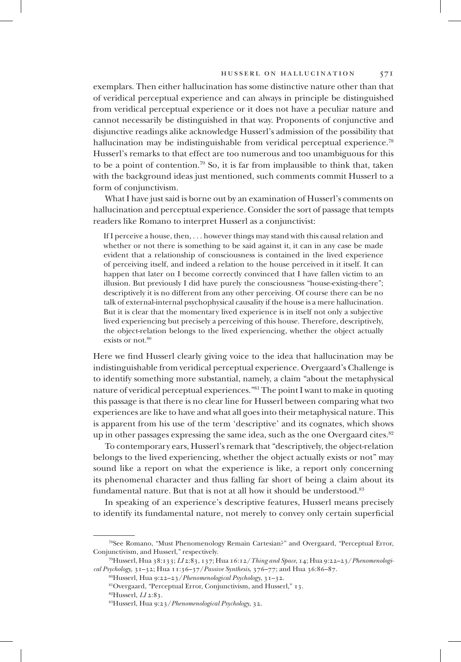exemplars. Then either hallucination has some distinctive nature other than that of veridical perceptual experience and can always in principle be distinguished from veridical perceptual experience or it does not have a peculiar nature and cannot necessarily be distinguished in that way. Proponents of conjunctive and disjunctive readings alike acknowledge Husserl's admission of the possibility that hallucination may be indistinguishable from veridical perceptual experience.<sup>78</sup> Husserl's remarks to that effect are too numerous and too unambiguous for this to be a point of contention.<sup>79</sup> So, it is far from implausible to think that, taken with the background ideas just mentioned, such comments commit Husserl to a form of conjunctivism.

What I have just said is borne out by an examination of Husserl's comments on hallucination and perceptual experience. Consider the sort of passage that tempts readers like Romano to interpret Husserl as a conjunctivist:

If I perceive a house, then, . . . however things may stand with this causal relation and whether or not there is something to be said against it, it can in any case be made evident that a relationship of consciousness is contained in the lived experience of perceiving itself, and indeed a relation to the house perceived in it itself. It can happen that later on I become correctly convinced that I have fallen victim to an illusion. But previously I did have purely the consciousness "house-existing-there"; descriptively it is no different from any other perceiving. Of course there can be no talk of external-internal psychophysical causality if the house is a mere hallucination. But it is clear that the momentary lived experience is in itself not only a subjective lived experiencing but precisely a perceiving of this house. Therefore, descriptively, the object-relation belongs to the lived experiencing, whether the object actually exists or not.<sup>80</sup>

Here we find Husserl clearly giving voice to the idea that hallucination may be indistinguishable from veridical perceptual experience. Overgaard's Challenge is to identify something more substantial, namely, a claim "about the metaphysical nature of veridical perceptual experiences."<sup>81</sup> The point I want to make in quoting this passage is that there is no clear line for Husserl between comparing what two experiences are like to have and what all goes into their metaphysical nature. This is apparent from his use of the term 'descriptive' and its cognates, which shows up in other passages expressing the same idea, such as the one Overgaard cites.<sup>82</sup>

To contemporary ears, Husserl's remark that "descriptively, the object-relation belongs to the lived experiencing, whether the object actually exists or not" may sound like a report on what the experience is like, a report only concerning its phenomenal character and thus falling far short of being a claim about its fundamental nature. But that is not at all how it should be understood.<sup>83</sup>

In speaking of an experience's descriptive features, Husserl means precisely to identify its fundamental nature, not merely to convey only certain superficial

<sup>78</sup>See Romano, "Must Phenomenology Remain Cartesian?" and Overgaard, "Perceptual Error, Conjunctivism, and Husserl," respectively.

<sup>79</sup>Husserl, Hua 38:133; *LI* 2:83, 137; Hua 16:12/*Thing and Space*, 14; Hua 9:22–23/*Phenomenological Psychology*, 31–32; Hua 11:36–37/*Passive Synthesis*, 376–77; and Hua 36:86–87.

<sup>80</sup>Husserl, Hua 9:22–23/*Phenomenological Psychology*, 31–32.

<sup>81</sup>Overgaard, "Perceptual Error, Conjunctivism, and Husserl," 13.

<sup>82</sup>Husserl, *LI* 2:83.

<sup>83</sup>Husserl, Hua 9:23/*Phenomenological Psychology*, 32.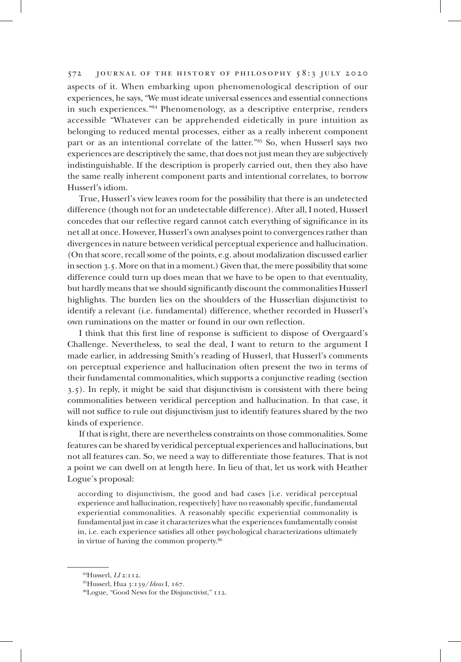aspects of it. When embarking upon phenomenological description of our experiences, he says, "We must ideate universal essences and essential connections in such experiences."84 Phenomenology, as a descriptive enterprise, renders accessible "Whatever can be apprehended eidetically in pure intuition as belonging to reduced mental processes, either as a really inherent component part or as an intentional correlate of the latter."85 So, when Husserl says two experiences are descriptively the same, that does not just mean they are subjectively indistinguishable. If the description is properly carried out, then they also have the same really inherent component parts and intentional correlates, to borrow Husserl's idiom.

True, Husserl's view leaves room for the possibility that there is an undetected difference (though not for an undetectable difference). After all, I noted, Husserl concedes that our reflective regard cannot catch everything of significance in its net all at once. However, Husserl's own analyses point to convergences rather than divergences in nature between veridical perceptual experience and hallucination. (On that score, recall some of the points, e.g. about modalization discussed earlier in section 3.5. More on that in a moment.) Given that, the mere possibility that some difference could turn up does mean that we have to be open to that eventuality, but hardly means that we should significantly discount the commonalities Husserl highlights. The burden lies on the shoulders of the Husserlian disjunctivist to identify a relevant (i.e. fundamental) difference, whether recorded in Husserl's own ruminations on the matter or found in our own reflection.

I think that this first line of response is sufficient to dispose of Overgaard's Challenge. Nevertheless, to seal the deal, I want to return to the argument I made earlier, in addressing Smith's reading of Husserl, that Husserl's comments on perceptual experience and hallucination often present the two in terms of their fundamental commonalities, which supports a conjunctive reading (section 3.5). In reply, it might be said that disjunctivism is consistent with there being commonalities between veridical perception and hallucination. In that case, it will not suffice to rule out disjunctivism just to identify features shared by the two kinds of experience.

If that is right, there are nevertheless constraints on those commonalities. Some features can be shared by veridical perceptual experiences and hallucinations, but not all features can. So, we need a way to differentiate those features. That is not a point we can dwell on at length here. In lieu of that, let us work with Heather Logue's proposal:

according to disjunctivism, the good and bad cases [i.e. veridical perceptual experience and hallucination, respectively] have no reasonably specific, fundamental experiential commonalities. A reasonably specific experiential commonality is fundamental just in case it characterizes what the experiences fundamentally consist in, i.e. each experience satisfies all other psychological characterizations ultimately in virtue of having the common property.86

<sup>84</sup>Husserl, *LI* 2:112.

<sup>85</sup>Husserl, Hua 3:139/*Ideas* I, 167.

<sup>86</sup>Logue, "Good News for the Disjunctivist," 112.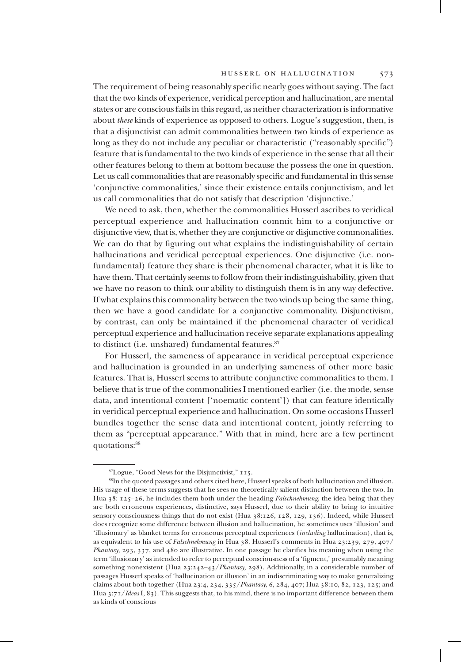The requirement of being reasonably specific nearly goes without saying. The fact that the two kinds of experience, veridical perception and hallucination, are mental states or are conscious fails in this regard, as neither characterization is informative about *these* kinds of experience as opposed to others. Logue's suggestion, then, is that a disjunctivist can admit commonalities between two kinds of experience as long as they do not include any peculiar or characteristic ("reasonably specific") feature that is fundamental to the two kinds of experience in the sense that all their other features belong to them at bottom because the possess the one in question. Let us call commonalities that are reasonably specific and fundamental in this sense 'conjunctive commonalities,' since their existence entails conjunctivism, and let us call commonalities that do not satisfy that description 'disjunctive.'

We need to ask, then, whether the commonalities Husserl ascribes to veridical perceptual experience and hallucination commit him to a conjunctive or disjunctive view, that is, whether they are conjunctive or disjunctive commonalities. We can do that by figuring out what explains the indistinguishability of certain hallucinations and veridical perceptual experiences. One disjunctive (i.e. nonfundamental) feature they share is their phenomenal character, what it is like to have them. That certainly seems to follow from their indistinguishability, given that we have no reason to think our ability to distinguish them is in any way defective. If what explains this commonality between the two winds up being the same thing, then we have a good candidate for a conjunctive commonality. Disjunctivism, by contrast, can only be maintained if the phenomenal character of veridical perceptual experience and hallucination receive separate explanations appealing to distinct (i.e. unshared) fundamental features.<sup>87</sup>

For Husserl, the sameness of appearance in veridical perceptual experience and hallucination is grounded in an underlying sameness of other more basic features. That is, Husserl seems to attribute conjunctive commonalities to them. I believe that is true of the commonalities I mentioned earlier (i.e. the mode, sense data, and intentional content ['noematic content']) that can feature identically in veridical perceptual experience and hallucination. On some occasions Husserl bundles together the sense data and intentional content, jointly referring to them as "perceptual appearance." With that in mind, here are a few pertinent quotations:88

<sup>87</sup>Logue, "Good News for the Disjunctivist," 115.

<sup>88</sup>In the quoted passages and others cited here, Husserl speaks of both hallucination and illusion. His usage of these terms suggests that he sees no theoretically salient distinction between the two. In Hua 38: 125–26, he includes them both under the heading *Falschnehmung*, the idea being that they are both erroneous experiences, distinctive, says Husserl, due to their ability to bring to intuitive sensory consciousness things that do not exist (Hua 38:126, 128, 129, 136). Indeed, while Husserl does recognize some difference between illusion and hallucination, he sometimes uses 'illusion' and 'illusionary' as blanket terms for erroneous perceptual experiences (*including* hallucination), that is, as equivalent to his use of *Falschnehmung* in Hua 38. Husserl's comments in Hua 23:239, 279, 407/ *Phantasy*, 293, 337, and 480 are illustrative. In one passage he clarifies his meaning when using the term 'illusionary' as intended to refer to perceptual consciousness of a 'figment,' presumably meaning something nonexistent (Hua 23:242–43/*Phantasy*, 298). Additionally, in a considerable number of passages Husserl speaks of 'hallucination or illusion' in an indiscriminating way to make generalizing claims about both together (Hua 23:4, 234, 335/*Phantasy*, 6, 284, 407; Hua 38:10, 82, 123, 125; and Hua 3:71/*Ideas* I, 83). This suggests that, to his mind, there is no important difference between them as kinds of conscious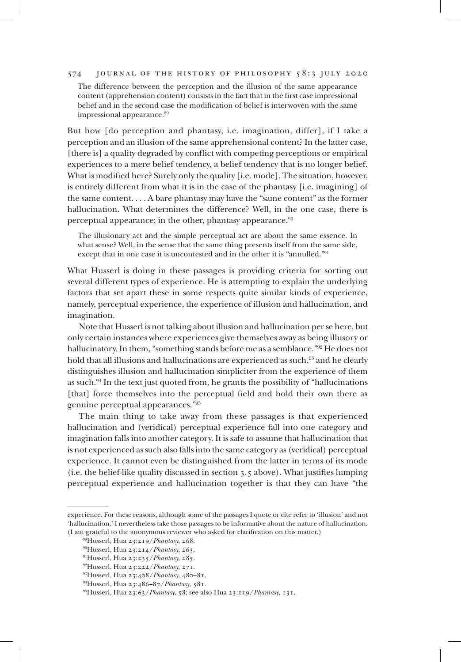The difference between the perception and the illusion of the same appearance content (apprehension content) consists in the fact that in the first case impressional belief and in the second case the modification of belief is interwoven with the same impressional appearance.89

But how [do perception and phantasy, i.e. imagination, differ], if I take a perception and an illusion of the same apprehensional content? In the latter case, [there is] a quality degraded by conflict with competing perceptions or empirical experiences to a mere belief tendency, a belief tendency that is no longer belief. What is modified here? Surely only the quality [i.e. mode]. The situation, however, is entirely different from what it is in the case of the phantasy [i.e. imagining] of the same content. . . . A bare phantasy may have the "same content" as the former hallucination. What determines the difference? Well, in the one case, there is perceptual appearance; in the other, phantasy appearance. $90$ 

The illusionary act and the simple perceptual act are about the same essence. In what sense? Well, in the sense that the same thing presents itself from the same side, except that in one case it is uncontested and in the other it is "annulled."91

What Husserl is doing in these passages is providing criteria for sorting out several different types of experience. He is attempting to explain the underlying factors that set apart these in some respects quite similar kinds of experience, namely, perceptual experience, the experience of illusion and hallucination, and imagination.

Note that Husserl is not talking about illusion and hallucination per se here, but only certain instances where experiences give themselves away as being illusory or hallucinatory. In them, "something stands before me as a semblance."<sup>92</sup> He does not hold that all illusions and hallucinations are experienced as such, $93$  and he clearly distinguishes illusion and hallucination simpliciter from the experience of them as such. $94$  In the text just quoted from, he grants the possibility of "hallucinations" [that] force themselves into the perceptual field and hold their own there as genuine perceptual appearances."95

The main thing to take away from these passages is that experienced hallucination and (veridical) perceptual experience fall into one category and imagination falls into another category. It is safe to assume that hallucination that is not experienced as such also falls into the same category as (veridical) perceptual experience. It cannot even be distinguished from the latter in terms of its mode (i.e. the belief-like quality discussed in section 3.5 above). What justifies lumping perceptual experience and hallucination together is that they can have "the

experience. For these reasons, although some of the passages I quote or cite refer to 'illusion' and not 'hallucination,' I nevertheless take those passages to be informative about the nature of hallucination. (I am grateful to the anonymous reviewer who asked for clarification on this matter.)

<sup>89</sup>Husserl, Hua 23:219/*Phantasy*, 268.

<sup>90</sup>Husserl, Hua 23:214/*Phantasy*, 263.

<sup>91</sup>Husserl, Hua 23:235/*Phantasy*, 285.

<sup>92</sup>Husserl, Hua 23:222/*Phantasy*, 271.

<sup>93</sup>Husserl, Hua 23:408/*Phantasy*, 480–81.

<sup>94</sup>Husserl, Hua 23:486–87/*Phantasy*, 581.

<sup>95</sup>Husserl, Hua 23:63/*Phantasy*, 58; see also Hua 23:119/*Phantasy*, 131.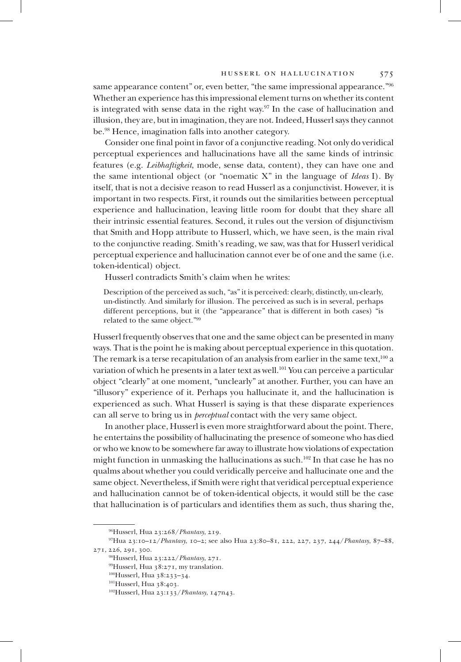same appearance content" or, even better, "the same impressional appearance."96 Whether an experience has this impressional element turns on whether its content is integrated with sense data in the right way.<sup>97</sup> In the case of hallucination and illusion, they are, but in imagination, they are not. Indeed, Husserl says they cannot be.98 Hence, imagination falls into another category.

Consider one final point in favor of a conjunctive reading. Not only do veridical perceptual experiences and hallucinations have all the same kinds of intrinsic features (e.g. *Leibhaftigkeit*, mode, sense data, content), they can have one and the same intentional object (or "noematic X" in the language of *Ideas* I). By itself, that is not a decisive reason to read Husserl as a conjunctivist. However, it is important in two respects. First, it rounds out the similarities between perceptual experience and hallucination, leaving little room for doubt that they share all their intrinsic essential features. Second, it rules out the version of disjunctivism that Smith and Hopp attribute to Husserl, which, we have seen, is the main rival to the conjunctive reading. Smith's reading, we saw, was that for Husserl veridical perceptual experience and hallucination cannot ever be of one and the same (i.e. token-identical) object.

Husserl contradicts Smith's claim when he writes:

Description of the perceived as such, "as" it is perceived: clearly, distinctly, un-clearly, un-distinctly. And similarly for illusion. The perceived as such is in several, perhaps different perceptions, but it (the "appearance" that is different in both cases) "is related to the same object."99

Husserl frequently observes that one and the same object can be presented in many ways. That is the point he is making about perceptual experience in this quotation. The remark is a terse recapitulation of an analysis from earlier in the same text,<sup>100</sup> a variation of which he presents in a later text as well.101 You can perceive a particular object "clearly" at one moment, "unclearly" at another. Further, you can have an "illusory" experience of it. Perhaps you hallucinate it, and the hallucination is experienced as such. What Husserl is saying is that these disparate experiences can all serve to bring us in *perceptual* contact with the very same object.

In another place, Husserl is even more straightforward about the point. There, he entertains the possibility of hallucinating the presence of someone who has died or who we know to be somewhere far away to illustrate how violations of expectation might function in unmasking the hallucinations as such.<sup>102</sup> In that case he has no qualms about whether you could veridically perceive and hallucinate one and the same object. Nevertheless, if Smith were right that veridical perceptual experience and hallucination cannot be of token-identical objects, it would still be the case that hallucination is of particulars and identifies them as such, thus sharing the,

<sup>96</sup>Husserl, Hua 23:268/*Phantasy*, 219.

<sup>97</sup>Hua 23:10–12/*Phantasy*, 10–2; see also Hua 23:80–81, 222, 227, 237, 244/*Phantasy*, 87–88, 271, 226, 291, 300.

<sup>98</sup>Husserl, Hua 23:222/*Phantasy*, 271.

<sup>99</sup>Husserl, Hua 38:271, my translation.

<sup>100</sup>Husserl*,* Hua 38:233–34.

<sup>&</sup>lt;sup>101</sup>Husserl, Hua 38:403.

<sup>102</sup>Husserl, Hua 23:133/*Phantasy*, 147n43.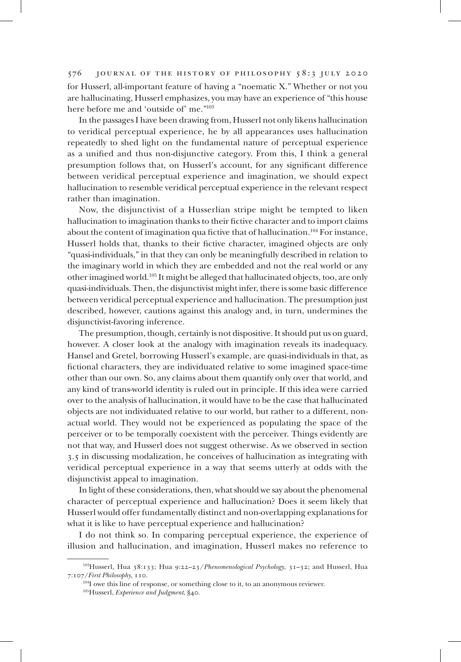# 576 journal of the history of philosophy 58:3 july 2020 for Husserl, all-important feature of having a "noematic X." Whether or not you are hallucinating, Husserl emphasizes, you may have an experience of "this house here before me and 'outside of' me."103

In the passages I have been drawing from, Husserl not only likens hallucination to veridical perceptual experience, he by all appearances uses hallucination repeatedly to shed light on the fundamental nature of perceptual experience as a unified and thus non-disjunctive category. From this, I think a general presumption follows that, on Husserl's account, for any significant difference between veridical perceptual experience and imagination, we should expect hallucination to resemble veridical perceptual experience in the relevant respect rather than imagination.

Now, the disjunctivist of a Husserlian stripe might be tempted to liken hallucination to imagination thanks to their fictive character and to import claims about the content of imagination qua fictive that of hallucination.<sup>104</sup> For instance, Husserl holds that, thanks to their fictive character, imagined objects are only "quasi-individuals," in that they can only be meaningfully described in relation to the imaginary world in which they are embedded and not the real world or any other imagined world.105 It might be alleged that hallucinated objects, too, are only quasi-individuals. Then, the disjunctivist might infer, there is some basic difference between veridical perceptual experience and hallucination. The presumption just described, however, cautions against this analogy and, in turn, undermines the disjunctivist-favoring inference.

The presumption, though, certainly is not dispositive. It should put us on guard, however. A closer look at the analogy with imagination reveals its inadequacy. Hansel and Gretel, borrowing Husserl's example, are quasi-individuals in that, as fictional characters, they are individuated relative to some imagined space-time other than our own. So, any claims about them quantify only over that world, and any kind of trans-world identity is ruled out in principle. If this idea were carried over to the analysis of hallucination, it would have to be the case that hallucinated objects are not individuated relative to our world, but rather to a different, nonactual world. They would not be experienced as populating the space of the perceiver or to be temporally coexistent with the perceiver. Things evidently are not that way, and Husserl does not suggest otherwise. As we observed in section 3.5 in discussing modalization, he conceives of hallucination as integrating with veridical perceptual experience in a way that seems utterly at odds with the disjunctivist appeal to imagination.

In light of these considerations, then, what should we say about the phenomenal character of perceptual experience and hallucination? Does it seem likely that Husserl would offer fundamentally distinct and non-overlapping explanations for what it is like to have perceptual experience and hallucination?

I do not think so. In comparing perceptual experience, the experience of illusion and hallucination, and imagination, Husserl makes no reference to

<sup>103</sup>Husserl*,* Hua 38:133; Hua 9:22–23/*Phenomenological Psychology*, 31–32; and Husserl, Hua 7:107/*First Philosophy*, 110.

<sup>104</sup>I owe this line of response, or something close to it, to an anonymous reviewer. 105Husserl, *Experience and Judgment*, §40.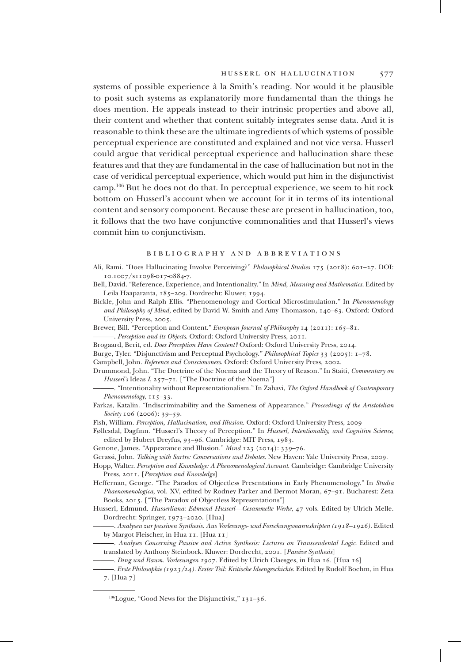systems of possible experience à la Smith's reading. Nor would it be plausible to posit such systems as explanatorily more fundamental than the things he does mention. He appeals instead to their intrinsic properties and above all, their content and whether that content suitably integrates sense data. And it is reasonable to think these are the ultimate ingredients of which systems of possible perceptual experience are constituted and explained and not vice versa. Husserl could argue that veridical perceptual experience and hallucination share these features and that they are fundamental in the case of hallucination but not in the case of veridical perceptual experience, which would put him in the disjunctivist camp.106 But he does not do that. In perceptual experience, we seem to hit rock bottom on Husserl's account when we account for it in terms of its intentional content and sensory component. Because these are present in hallucination, too, it follows that the two have conjunctive commonalities and that Husserl's views commit him to conjunctivism.

#### bibliography and abbreviations

- Ali, Rami. "Does Hallucinating Involve Perceiving?" *Philosophical Studies* 175 (2018): 601–27. DOI: 10.1007/s11098-017-0884-7.
- Bell, David. "Reference, Experience, and Intentionality." In *Mind, Meaning and Mathematics*. Edited by Leila Haaparanta, 185–209. Dordrecht: Kluwer, 1994.
- Bickle, John and Ralph Ellis. "Phenomenology and Cortical Microstimulation." In *Phenomenology and Philosophy of Mind*, edited by David W. Smith and Amy Thomasson, 140–63. Oxford: Oxford University Press, 2005.
- Brewer, Bill. "Perception and Content." *European Journal of Philosophy* 14 (2011): 165–81.
- ———. *Perception and its Objects*. Oxford: Oxford University Press, 2011.
- Brogaard, Berit, ed. *Does Perception Have Content?* Oxford: Oxford University Press, 2014.
- Burge, Tyler. "Disjunctivism and Perceptual Psychology." *Philosophical Topics* 33 (2005): 1–78.
- Campbell, John. *Reference and Consciousness*. Oxford: Oxford University Press, 2002.
- Drummond, John. "The Doctrine of the Noema and the Theory of Reason." In Staiti, *Commentary on Husserl's* Ideas *I*, 257–71. ["The Doctrine of the Noema"]
- ———. "Intentionality without Representationalism." In Zahavi, *The Oxford Handbook of Contemporary Phenomenology*,  $115-33$ .
- Farkas, Katalin. "Indiscriminability and the Sameness of Appearance." *Proceedings of the Aristotelian Society* 106 (2006): 39–59.
- Fish, William. *Perception, Hallucination, and Illusion*. Oxford: Oxford University Press, 2009
- Føllesdal, Dagfinn. "Husserl's Theory of Perception." In *Husserl, Intentionality, and Cognitive Science*, edited by Hubert Dreyfus, 93–96. Cambridge: MIT Press, 1983.
- Genone, James. "Appearance and Illusion." *Mind* 123 (2014): 339–76.
- Gerassi, John. *Talking with Sartre: Conversations and Debates*. New Haven: Yale University Press, 2009.
- Hopp, Walter. *Perception and Knowledge: A Phenomenological Account*. Cambridge: Cambridge University Press, 2011. [*Perception and Knowledge*]
- Heffernan, George. "The Paradox of Objectless Presentations in Early Phenomenology." In *Studia Phaenomenologica*, vol. XV, edited by Rodney Parker and Dermot Moran, 67–91. Bucharest: Zeta Books, 2015. ["The Paradox of Objectless Representations"]
- Husserl, Edmund. *Husserliana*: *Edmund Husserl—Gesammelte Werke*, 47 vols. Edited by Ulrich Melle. Dordrecht: Springer, 1973–2020. [Hua]
- ———. *Analysen zur passiven Synthesis. Aus Vorlesungs- und Forschungsmanuskripten (1918*–*1926)*. Edited by Margot Fleischer, in Hua 11. [Hua 11]
- ———. *Analyses Concerning Passive and Active Synthesis: Lectures on Transcendental Logic*. Edited and translated by Anthony Steinbock. Kluwer: Dordrecht, 2001. [*Passive Synthesis*]
- ———. *Ding und Raum. Vorlesungen 1907*. Edited by Ulrich Claesges, in Hua 16. [Hua 16]
- ———. *Erste Philosophie (1923/24). Erster Teil: Kritische Ideengeschichte*. Edited by Rudolf Boehm, in Hua 7. [Hua 7]

<sup>106</sup>Logue, "Good News for the Disjunctivist," 131–36.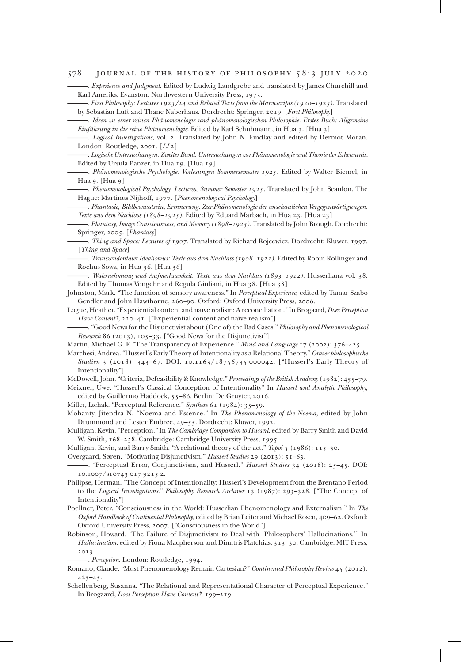———. *Experience and Judgment*. Edited by Ludwig Landgrebe and translated by James Churchill and Karl Ameriks. Evanston: Northwestern University Press, 1973.

———. *First Philosophy: Lectures 1923/24 and Related Texts from the Manuscripts (1920*–*1925)*. Translated by Sebastian Luft and Thane Naberhaus. Dordrecht: Springer, 2019. [*First Philosophy*]

———. *Ideen zu einer reinen Phänomenologie und phänomenologischen Philosophie. Erstes Buch: Allgemeine Einführung in die reine Phänomenologie*. Edited by Karl Schuhmann, in Hua 3. [Hua 3]

———. *Logical Investigations*, vol. 2. Translated by John N. Findlay and edited by Dermot Moran. London: Routledge, 2001. [*LI* 2]

———. *Logische Untersuchungen. Zweiter Band: Untersuchungen zur Phänomenologie und Theorie der Erkenntnis*. Edited by Ursula Panzer, in Hua 19. [Hua 19]

———. *Phänomenologische Psychologie. Vorlesungen Sommersemester 1925*. Edited by Walter Biemel, in Hua 9. [Hua 9]

———. *Phenomenological Psychology. Lectures, Summer Semester 1925*. Translated by John Scanlon. The Hague: Martinus Nijhoff, 1977. [*Phenomenological Psychology*]

———. *Phantasie, Bildbewusstsein, Erinnerung. Zur Phänomenologie der anschaulichen Vergegenwärtigungen. Texte aus dem Nachlass (1898*–*1925)*. Edited by Eduard Marbach, in Hua 23. [Hua 23]

———. *Phantasy, Image Consciousness, and Memory (1898*–*1925)*. Translated by John Brough. Dordrecht: Springer, 2005. [*Phantasy*]

———. *Thing and Space: Lectures of 1907*. Translated by Richard Rojcewicz. Dordrecht: Kluwer, 1997. [*Thing and Space*]

———. *Transzendentaler Idealismus: Texte aus dem Nachlass (1908–1921)*. Edited by Robin Rollinger and Rochus Sowa, in Hua 36. [Hua 36]

———. *Wahrnehmung und Aufmerksamkeit: Texte aus dem Nachlass (1893–1912)*. Husserliana vol. 38. Edited by Thomas Vongehr and Regula Giuliani, in Hua 38. [Hua 38]

Johnston, Mark. "The function of sensory awareness." In *Perceptual Experience*, edited by Tamar Szabo Gendler and John Hawthorne, 260*–*90. Oxford: Oxford University Press, 2006.

Logue, Heather. "Experiential content and naïve realism: A reconciliation." In Brogaard, *Does Perception Have Content?*, 220–41. ["Experiential content and naïve realism"]

———. "Good News for the Disjunctivist about (One of) the Bad Cases." *Philosophy and Phenomenological Research* 86 (2013), 105–33. ["Good News for the Disjunctivist"]

Martin, Michael G. F. "The Transparency of Experience." *Mind and Language* 17 (2002): 376–425.

Marchesi, Andrea. "Husserl's Early Theory of Intentionality as a Relational Theory." *Grazer philosophische Studien* 3 (2018): 343–67. DOI: 10.1163/18756735-000042. ["Husserl's Early Theory of Intentionality"]

McDowell, John. "Criteria, Defeasibility & Knowledge." *Proceedings of the British Academy* (1982): 455–79.

Meixner, Uwe. "Husserl's Classical Conception of Intentionality" In *Husserl and Analytic Philosophy*, edited by Guillermo Haddock, 55–86. Berlin: De Gruyter, 2016.

Miller, Izchak. "Perceptual Reference." *Synthese* 61 (1984): 35–59.

Mohanty, Jitendra N. "Noema and Essence." In *The Phenomenology of the Noema*, edited by John Drummond and Lester Embree, 49–55. Dordrecht: Kluwer, 1992.

Mulligan, Kevin. "Perception." In *The Cambridge Companion to Husserl*, edited by Barry Smith and David W. Smith, 168–238. Cambridge: Cambridge University Press, 1995.

Mulligan, Kevin, and Barry Smith. "A relational theory of the act." *Topoi* 5 (1986): 115–30.

Overgaard, Søren. "Motivating Disjunctivism." *Husserl Studies* 29 (2013): 51–63.

———. "Perceptual Error, Conjunctivism, and Husserl." *Husserl Studies* 34 (2018): 25–45. DOI: 10.1007/s10743-017-9215-2.

Philipse, Herman. "The Concept of Intentionality: Husserl's Development from the Brentano Period to the *Logical Investigations*." *Philosophy Research Archives* 13 (1987): 293–328. ["The Concept of Intentionality"]

Poellner, Peter. "Consciousness in the World: Husserlian Phenomenology and Externalism." In *The Oxford Handbook of Continental Philosophy*, edited by Brian Leiter and Michael Rosen, 409–62. Oxford: Oxford University Press, 2007. ["Consciousness in the World"]

Robinson, Howard. "The Failure of Disjunctivism to Deal with 'Philosophers' Hallucinations.'" In *Hallucination*, edited by Fiona Macpherson and Dimitris Platchias, 313*–*30. Cambridge: MIT Press, 2013.

———. *Perception*. London: Routledge, 1994.

Romano, Claude. "Must Phenomenology Remain Cartesian?" *Continental Philosophy Review* 45 (2012):  $425 - 45$ .

Schellenberg, Susanna. "The Relational and Representational Character of Perceptual Experience." In Brogaard, *Does Perception Have Content?*, 199–219.